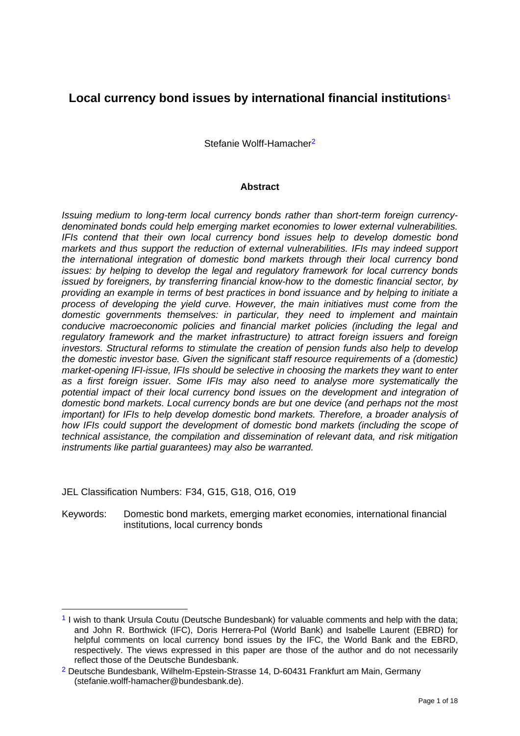# **Local currency bond issues by international financial institutions**<sup>1</sup>

Stefanie Wolff-Hamacher2

#### **Abstract**

*Issuing medium to long-term local currency bonds rather than short-term foreign currencydenominated bonds could help emerging market economies to lower external vulnerabilities. IFIs contend that their own local currency bond issues help to develop domestic bond markets and thus support the reduction of external vulnerabilities. IFIs may indeed support the international integration of domestic bond markets through their local currency bond issues: by helping to develop the legal and regulatory framework for local currency bonds issued by foreigners, by transferring financial know-how to the domestic financial sector, by providing an example in terms of best practices in bond issuance and by helping to initiate a process of developing the yield curve. However, the main initiatives must come from the domestic governments themselves: in particular, they need to implement and maintain conducive macroeconomic policies and financial market policies (including the legal and regulatory framework and the market infrastructure) to attract foreign issuers and foreign investors. Structural reforms to stimulate the creation of pension funds also help to develop the domestic investor base. Given the significant staff resource requirements of a (domestic) market-opening IFI-issue, IFIs should be selective in choosing the markets they want to enter as a first foreign issuer. Some IFIs may also need to analyse more systematically the*  potential impact of their local currency bond issues on the development and integration of *domestic bond markets. Local currency bonds are but one device (and perhaps not the most important) for IFIs to help develop domestic bond markets. Therefore, a broader analysis of how IFIs could support the development of domestic bond markets (including the scope of technical assistance, the compilation and dissemination of relevant data, and risk mitigation instruments like partial guarantees) may also be warranted.* 

JEL Classification Numbers: F34, G15, G18, O16, O19

1

Keywords: Domestic bond markets, emerging market economies, international financial institutions, local currency bonds

<sup>&</sup>lt;sup>1</sup> I wish to thank Ursula Coutu (Deutsche Bundesbank) for valuable comments and help with the data; and John R. Borthwick (IFC), Doris Herrera-Pol (World Bank) and Isabelle Laurent (EBRD) for helpful comments on local currency bond issues by the IFC, the World Bank and the EBRD, respectively. The views expressed in this paper are those of the author and do not necessarily reflect those of the Deutsche Bundesbank.

<sup>2</sup> Deutsche Bundesbank, Wilhelm-Epstein-Strasse 14, D-60431 Frankfurt am Main, Germany (stefanie.wolff-hamacher@bundesbank.de).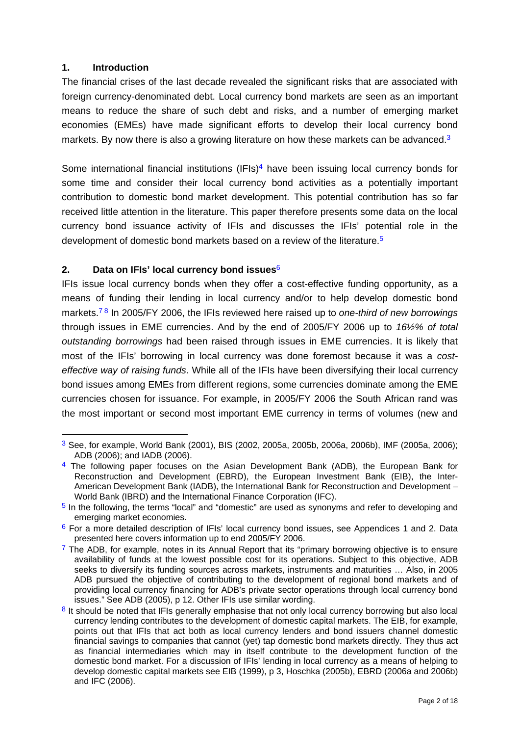## **1. Introduction**

1

The financial crises of the last decade revealed the significant risks that are associated with foreign currency-denominated debt. Local currency bond markets are seen as an important means to reduce the share of such debt and risks, and a number of emerging market economies (EMEs) have made significant efforts to develop their local currency bond markets. By now there is also a growing literature on how these markets can be advanced.<sup>3</sup>

Some international financial institutions (IFIs)<sup>4</sup> have been issuing local currency bonds for some time and consider their local currency bond activities as a potentially important contribution to domestic bond market development. This potential contribution has so far received little attention in the literature. This paper therefore presents some data on the local currency bond issuance activity of IFIs and discusses the IFIs' potential role in the development of domestic bond markets based on a review of the literature.<sup>5</sup>

# **2. Data on IFIs' local currency bond issues**<sup>6</sup>

IFIs issue local currency bonds when they offer a cost-effective funding opportunity, as a means of funding their lending in local currency and/or to help develop domestic bond markets.7 8 In 2005/FY 2006, the IFIs reviewed here raised up to *one-third of new borrowings* through issues in EME currencies. And by the end of 2005/FY 2006 up to *16½% of total outstanding borrowings* had been raised through issues in EME currencies. It is likely that most of the IFIs' borrowing in local currency was done foremost because it was a *costeffective way of raising funds*. While all of the IFIs have been diversifying their local currency bond issues among EMEs from different regions, some currencies dominate among the EME currencies chosen for issuance. For example, in 2005/FY 2006 the South African rand was the most important or second most important EME currency in terms of volumes (new and

<sup>3</sup> See, for example, World Bank (2001), BIS (2002, 2005a, 2005b, 2006a, 2006b), IMF (2005a, 2006); ADB (2006); and IADB (2006).

<sup>&</sup>lt;sup>4</sup> The following paper focuses on the Asian Development Bank (ADB), the European Bank for Reconstruction and Development (EBRD), the European Investment Bank (EIB), the Inter-American Development Bank (IADB), the International Bank for Reconstruction and Development – World Bank (IBRD) and the International Finance Corporation (IFC).

<sup>&</sup>lt;sup>5</sup> In the following, the terms "local" and "domestic" are used as synonyms and refer to developing and emerging market economies.

<sup>&</sup>lt;sup>6</sup> For a more detailed description of IFIs' local currency bond issues, see Appendices 1 and 2. Data presented here covers information up to end 2005/FY 2006.

 $7$  The ADB, for example, notes in its Annual Report that its "primary borrowing objective is to ensure availability of funds at the lowest possible cost for its operations. Subject to this objective, ADB seeks to diversify its funding sources across markets, instruments and maturities … Also, in 2005 ADB pursued the objective of contributing to the development of regional bond markets and of providing local currency financing for ADB's private sector operations through local currency bond issues." See ADB (2005), p 12. Other IFIs use similar wording.

<sup>&</sup>lt;sup>8</sup> It should be noted that IFIs generally emphasise that not only local currency borrowing but also local currency lending contributes to the development of domestic capital markets. The EIB, for example, points out that IFIs that act both as local currency lenders and bond issuers channel domestic financial savings to companies that cannot (yet) tap domestic bond markets directly. They thus act as financial intermediaries which may in itself contribute to the development function of the domestic bond market. For a discussion of IFIs' lending in local currency as a means of helping to develop domestic capital markets see EIB (1999), p 3, Hoschka (2005b), EBRD (2006a and 2006b) and IFC (2006).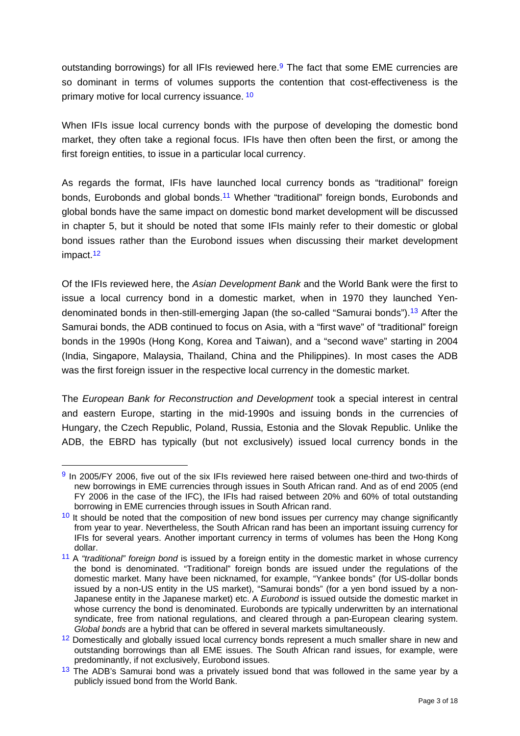outstanding borrowings) for all IFIs reviewed here.<sup>9</sup> The fact that some EME currencies are so dominant in terms of volumes supports the contention that cost-effectiveness is the primary motive for local currency issuance.<sup>10</sup>

When IFIs issue local currency bonds with the purpose of developing the domestic bond market, they often take a regional focus. IFIs have then often been the first, or among the first foreign entities, to issue in a particular local currency.

As regards the format, IFIs have launched local currency bonds as "traditional" foreign bonds, Eurobonds and global bonds.<sup>11</sup> Whether "traditional" foreign bonds, Eurobonds and global bonds have the same impact on domestic bond market development will be discussed in chapter 5, but it should be noted that some IFIs mainly refer to their domestic or global bond issues rather than the Eurobond issues when discussing their market development impact.12

Of the IFIs reviewed here, the *Asian Development Bank* and the World Bank were the first to issue a local currency bond in a domestic market, when in 1970 they launched Yendenominated bonds in then-still-emerging Japan (the so-called "Samurai bonds").13 After the Samurai bonds, the ADB continued to focus on Asia, with a "first wave" of "traditional" foreign bonds in the 1990s (Hong Kong, Korea and Taiwan), and a "second wave" starting in 2004 (India, Singapore, Malaysia, Thailand, China and the Philippines). In most cases the ADB was the first foreign issuer in the respective local currency in the domestic market.

The *European Bank for Reconstruction and Development* took a special interest in central and eastern Europe, starting in the mid-1990s and issuing bonds in the currencies of Hungary, the Czech Republic, Poland, Russia, Estonia and the Slovak Republic. Unlike the ADB, the EBRD has typically (but not exclusively) issued local currency bonds in the

<sup>9</sup> In 2005/FY 2006, five out of the six IFIs reviewed here raised between one-third and two-thirds of new borrowings in EME currencies through issues in South African rand. And as of end 2005 (end FY 2006 in the case of the IFC), the IFIs had raised between 20% and 60% of total outstanding borrowing in EME currencies through issues in South African rand.

 $10$  It should be noted that the composition of new bond issues per currency may change significantly from year to year. Nevertheless, the South African rand has been an important issuing currency for IFIs for several years. Another important currency in terms of volumes has been the Hong Kong dollar.

<sup>11</sup> A *"traditional" foreign bond* is issued by a foreign entity in the domestic market in whose currency the bond is denominated. "Traditional" foreign bonds are issued under the regulations of the domestic market. Many have been nicknamed, for example, "Yankee bonds" (for US-dollar bonds issued by a non-US entity in the US market), "Samurai bonds" (for a yen bond issued by a non-Japanese entity in the Japanese market) etc. A *Eurobond* is issued outside the domestic market in whose currency the bond is denominated. Eurobonds are typically underwritten by an international syndicate, free from national regulations, and cleared through a pan-European clearing system. *Global bonds* are a hybrid that can be offered in several markets simultaneously.

<sup>&</sup>lt;sup>12</sup> Domestically and globally issued local currency bonds represent a much smaller share in new and outstanding borrowings than all EME issues. The South African rand issues, for example, were predominantly, if not exclusively, Eurobond issues.

 $13$  The ADB's Samurai bond was a privately issued bond that was followed in the same year by a publicly issued bond from the World Bank.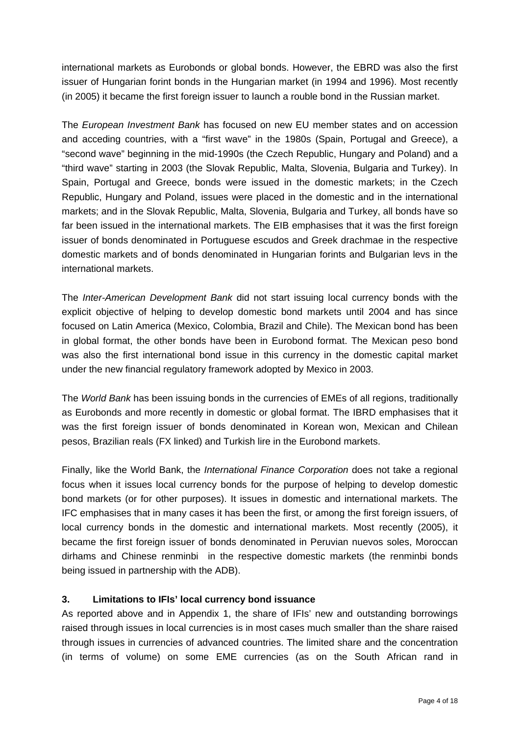international markets as Eurobonds or global bonds. However, the EBRD was also the first issuer of Hungarian forint bonds in the Hungarian market (in 1994 and 1996). Most recently (in 2005) it became the first foreign issuer to launch a rouble bond in the Russian market.

The *European Investment Bank* has focused on new EU member states and on accession and acceding countries, with a "first wave" in the 1980s (Spain, Portugal and Greece), a "second wave" beginning in the mid-1990s (the Czech Republic, Hungary and Poland) and a "third wave" starting in 2003 (the Slovak Republic, Malta, Slovenia, Bulgaria and Turkey). In Spain, Portugal and Greece, bonds were issued in the domestic markets; in the Czech Republic, Hungary and Poland, issues were placed in the domestic and in the international markets; and in the Slovak Republic, Malta, Slovenia, Bulgaria and Turkey, all bonds have so far been issued in the international markets. The EIB emphasises that it was the first foreign issuer of bonds denominated in Portuguese escudos and Greek drachmae in the respective domestic markets and of bonds denominated in Hungarian forints and Bulgarian levs in the international markets.

The *Inter-American Development Bank* did not start issuing local currency bonds with the explicit objective of helping to develop domestic bond markets until 2004 and has since focused on Latin America (Mexico, Colombia, Brazil and Chile). The Mexican bond has been in global format, the other bonds have been in Eurobond format. The Mexican peso bond was also the first international bond issue in this currency in the domestic capital market under the new financial regulatory framework adopted by Mexico in 2003.

The *World Bank* has been issuing bonds in the currencies of EMEs of all regions, traditionally as Eurobonds and more recently in domestic or global format. The IBRD emphasises that it was the first foreign issuer of bonds denominated in Korean won, Mexican and Chilean pesos, Brazilian reals (FX linked) and Turkish lire in the Eurobond markets.

Finally, like the World Bank, the *International Finance Corporation* does not take a regional focus when it issues local currency bonds for the purpose of helping to develop domestic bond markets (or for other purposes). It issues in domestic and international markets. The IFC emphasises that in many cases it has been the first, or among the first foreign issuers, of local currency bonds in the domestic and international markets. Most recently (2005), it became the first foreign issuer of bonds denominated in Peruvian nuevos soles, Moroccan dirhams and Chinese renminbi in the respective domestic markets (the renminbi bonds being issued in partnership with the ADB).

# **3. Limitations to IFIs' local currency bond issuance**

As reported above and in Appendix 1, the share of IFIs' new and outstanding borrowings raised through issues in local currencies is in most cases much smaller than the share raised through issues in currencies of advanced countries. The limited share and the concentration (in terms of volume) on some EME currencies (as on the South African rand in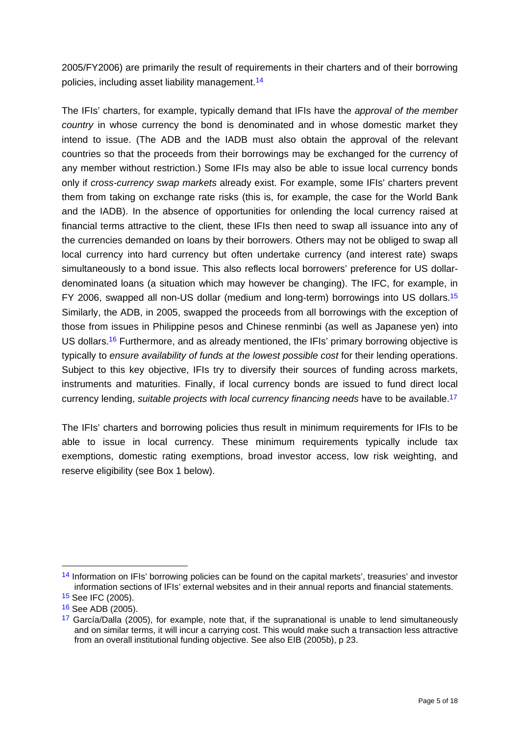2005/FY2006) are primarily the result of requirements in their charters and of their borrowing policies, including asset liability management.14

The IFIs' charters, for example, typically demand that IFIs have the *approval of the member country* in whose currency the bond is denominated and in whose domestic market they intend to issue. (The ADB and the IADB must also obtain the approval of the relevant countries so that the proceeds from their borrowings may be exchanged for the currency of any member without restriction.) Some IFIs may also be able to issue local currency bonds only if *cross-currency swap markets* already exist. For example, some IFIs' charters prevent them from taking on exchange rate risks (this is, for example, the case for the World Bank and the IADB). In the absence of opportunities for onlending the local currency raised at financial terms attractive to the client, these IFIs then need to swap all issuance into any of the currencies demanded on loans by their borrowers. Others may not be obliged to swap all local currency into hard currency but often undertake currency (and interest rate) swaps simultaneously to a bond issue. This also reflects local borrowers' preference for US dollardenominated loans (a situation which may however be changing). The IFC, for example, in FY 2006, swapped all non-US dollar (medium and long-term) borrowings into US dollars.15 Similarly, the ADB, in 2005, swapped the proceeds from all borrowings with the exception of those from issues in Philippine pesos and Chinese renminbi (as well as Japanese yen) into US dollars.<sup>16</sup> Furthermore, and as already mentioned, the IFIs' primary borrowing objective is typically to *ensure availability of funds at the lowest possible cost* for their lending operations. Subject to this key objective, IFIs try to diversify their sources of funding across markets, instruments and maturities. Finally, if local currency bonds are issued to fund direct local currency lending, *suitable projects with local currency financing needs* have to be available.17

The IFIs' charters and borrowing policies thus result in minimum requirements for IFIs to be able to issue in local currency. These minimum requirements typically include tax exemptions, domestic rating exemptions, broad investor access, low risk weighting, and reserve eligibility (see Box 1 below).

<sup>14</sup> Information on IFIs' borrowing policies can be found on the capital markets', treasuries' and investor information sections of IFIs' external websites and in their annual reports and financial statements.

<sup>15</sup> See IFC (2005).

<sup>16</sup> See ADB (2005).

 $17$  García/Dalla (2005), for example, note that, if the supranational is unable to lend simultaneously and on similar terms, it will incur a carrying cost. This would make such a transaction less attractive from an overall institutional funding objective. See also EIB (2005b), p 23.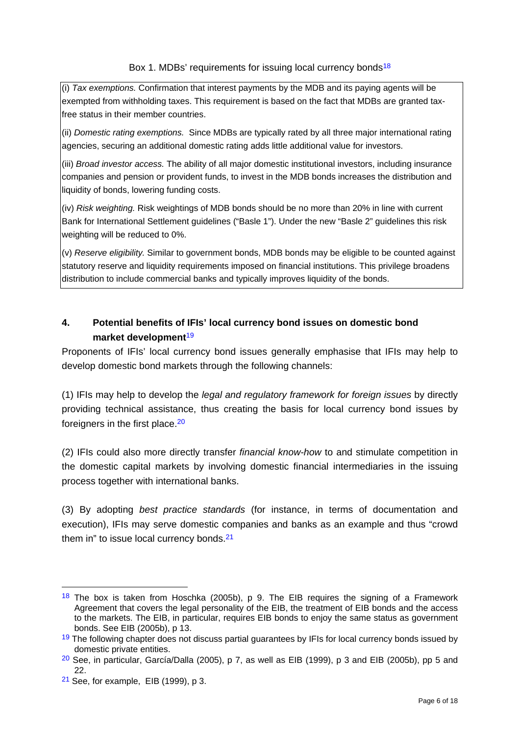Box 1. MDBs' requirements for issuing local currency bonds<sup>18</sup>

(i) *Tax exemptions.* Confirmation that interest payments by the MDB and its paying agents will be exempted from withholding taxes. This requirement is based on the fact that MDBs are granted taxfree status in their member countries.

(ii) *Domestic rating exemptions.* Since MDBs are typically rated by all three major international rating agencies, securing an additional domestic rating adds little additional value for investors.

(iii) *Broad investor access.* The ability of all major domestic institutional investors, including insurance companies and pension or provident funds, to invest in the MDB bonds increases the distribution and liquidity of bonds, lowering funding costs.

(iv) *Risk weighting.* Risk weightings of MDB bonds should be no more than 20% in line with current Bank for International Settlement guidelines ("Basle 1"). Under the new "Basle 2" guidelines this risk weighting will be reduced to 0%.

(v) *Reserve eligibility.* Similar to government bonds, MDB bonds may be eligible to be counted against statutory reserve and liquidity requirements imposed on financial institutions. This privilege broadens distribution to include commercial banks and typically improves liquidity of the bonds.

# **4. Potential benefits of IFIs' local currency bond issues on domestic bond market development**<sup>19</sup>

Proponents of IFIs' local currency bond issues generally emphasise that IFIs may help to develop domestic bond markets through the following channels:

(1) IFIs may help to develop the *legal and regulatory framework for foreign issues* by directly providing technical assistance, thus creating the basis for local currency bond issues by foreigners in the first place.20

(2) IFIs could also more directly transfer *financial know-how* to and stimulate competition in the domestic capital markets by involving domestic financial intermediaries in the issuing process together with international banks.

(3) By adopting *best practice standards* (for instance, in terms of documentation and execution), IFIs may serve domestic companies and banks as an example and thus "crowd them in" to issue local currency bonds.<sup>21</sup>

 $18$  The box is taken from Hoschka (2005b), p 9. The EIB requires the signing of a Framework Agreement that covers the legal personality of the EIB, the treatment of EIB bonds and the access to the markets. The EIB, in particular, requires EIB bonds to enjoy the same status as government bonds. See EIB (2005b), p 13.

<sup>&</sup>lt;sup>19</sup> The following chapter does not discuss partial guarantees by IFIs for local currency bonds issued by domestic private entities.

 $20$  See, in particular, García/Dalla (2005), p 7, as well as EIB (1999), p 3 and EIB (2005b), pp 5 and 22.

 $21$  See, for example, EIB (1999), p 3.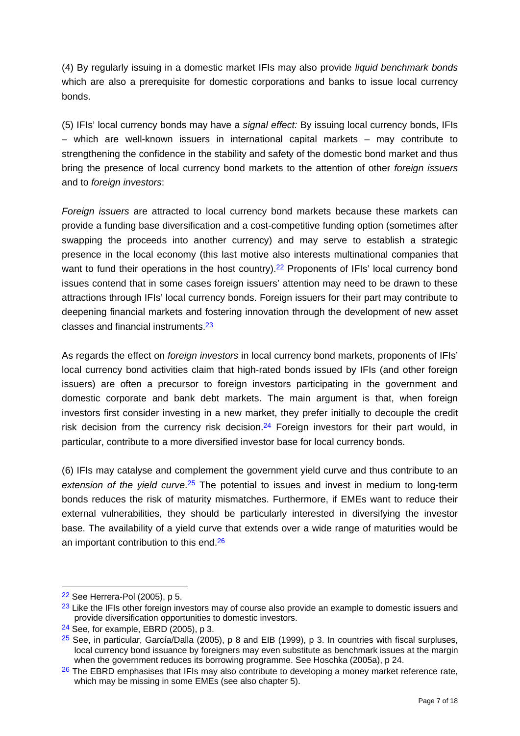(4) By regularly issuing in a domestic market IFIs may also provide *liquid benchmark bonds* which are also a prerequisite for domestic corporations and banks to issue local currency bonds.

(5) IFIs' local currency bonds may have a *signal effect:* By issuing local currency bonds, IFIs – which are well-known issuers in international capital markets – may contribute to strengthening the confidence in the stability and safety of the domestic bond market and thus bring the presence of local currency bond markets to the attention of other *foreign issuers* and to *foreign investors*:

*Foreign issuers* are attracted to local currency bond markets because these markets can provide a funding base diversification and a cost-competitive funding option (sometimes after swapping the proceeds into another currency) and may serve to establish a strategic presence in the local economy (this last motive also interests multinational companies that want to fund their operations in the host country).<sup>22</sup> Proponents of IFIs' local currency bond issues contend that in some cases foreign issuers' attention may need to be drawn to these attractions through IFIs' local currency bonds. Foreign issuers for their part may contribute to deepening financial markets and fostering innovation through the development of new asset classes and financial instruments.23

As regards the effect on *foreign investors* in local currency bond markets, proponents of IFIs' local currency bond activities claim that high-rated bonds issued by IFIs (and other foreign issuers) are often a precursor to foreign investors participating in the government and domestic corporate and bank debt markets. The main argument is that, when foreign investors first consider investing in a new market, they prefer initially to decouple the credit risk decision from the currency risk decision.<sup>24</sup> Foreign investors for their part would, in particular, contribute to a more diversified investor base for local currency bonds.

(6) IFIs may catalyse and complement the government yield curve and thus contribute to an *extension of the yield curve*.25 The potential to issues and invest in medium to long-term bonds reduces the risk of maturity mismatches. Furthermore, if EMEs want to reduce their external vulnerabilities, they should be particularly interested in diversifying the investor base. The availability of a yield curve that extends over a wide range of maturities would be an important contribution to this end 26

 $22$  See Herrera-Pol (2005), p 5.

 $23$  Like the IFIs other foreign investors may of course also provide an example to domestic issuers and provide diversification opportunities to domestic investors.

 $24$  See, for example, EBRD (2005), p 3.

 $25$  See, in particular, García/Dalla (2005), p 8 and EIB (1999), p 3. In countries with fiscal surpluses, local currency bond issuance by foreigners may even substitute as benchmark issues at the margin when the government reduces its borrowing programme. See Hoschka (2005a), p 24.

 $26$  The EBRD emphasises that IFIs may also contribute to developing a money market reference rate, which may be missing in some EMEs (see also chapter 5).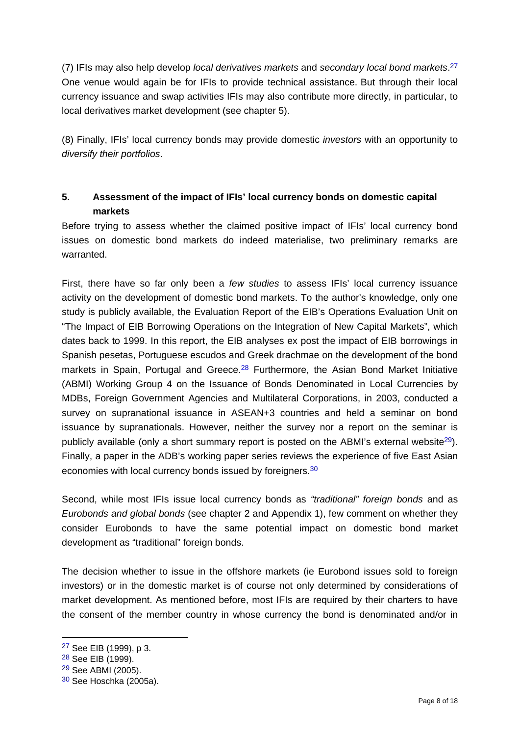(7) IFIs may also help develop *local derivatives markets* and *secondary local bond markets*.27 One venue would again be for IFIs to provide technical assistance. But through their local currency issuance and swap activities IFIs may also contribute more directly, in particular, to local derivatives market development (see chapter 5).

(8) Finally, IFIs' local currency bonds may provide domestic *investors* with an opportunity to *diversify their portfolios*.

# **5. Assessment of the impact of IFIs' local currency bonds on domestic capital markets**

Before trying to assess whether the claimed positive impact of IFIs' local currency bond issues on domestic bond markets do indeed materialise, two preliminary remarks are warranted.

First, there have so far only been a *few studies* to assess IFIs' local currency issuance activity on the development of domestic bond markets. To the author's knowledge, only one study is publicly available, the Evaluation Report of the EIB's Operations Evaluation Unit on "The Impact of EIB Borrowing Operations on the Integration of New Capital Markets", which dates back to 1999. In this report, the EIB analyses ex post the impact of EIB borrowings in Spanish pesetas, Portuguese escudos and Greek drachmae on the development of the bond markets in Spain, Portugal and Greece. $28$  Furthermore, the Asian Bond Market Initiative (ABMI) Working Group 4 on the Issuance of Bonds Denominated in Local Currencies by MDBs, Foreign Government Agencies and Multilateral Corporations, in 2003, conducted a survey on supranational issuance in ASEAN+3 countries and held a seminar on bond issuance by supranationals. However, neither the survey nor a report on the seminar is publicly available (only a short summary report is posted on the ABMI's external website<sup>29</sup>). Finally, a paper in the ADB's working paper series reviews the experience of five East Asian economies with local currency bonds issued by foreigners.<sup>30</sup>

Second, while most IFIs issue local currency bonds as *"traditional" foreign bonds* and as *Eurobonds and global bonds* (see chapter 2 and Appendix 1), few comment on whether they consider Eurobonds to have the same potential impact on domestic bond market development as "traditional" foreign bonds.

The decision whether to issue in the offshore markets (ie Eurobond issues sold to foreign investors) or in the domestic market is of course not only determined by considerations of market development. As mentioned before, most IFIs are required by their charters to have the consent of the member country in whose currency the bond is denominated and/or in

<sup>27</sup> See EIB (1999), p 3.

<sup>28</sup> See EIB (1999).

<sup>29</sup> See ABMI (2005).

<sup>30</sup> See Hoschka (2005a).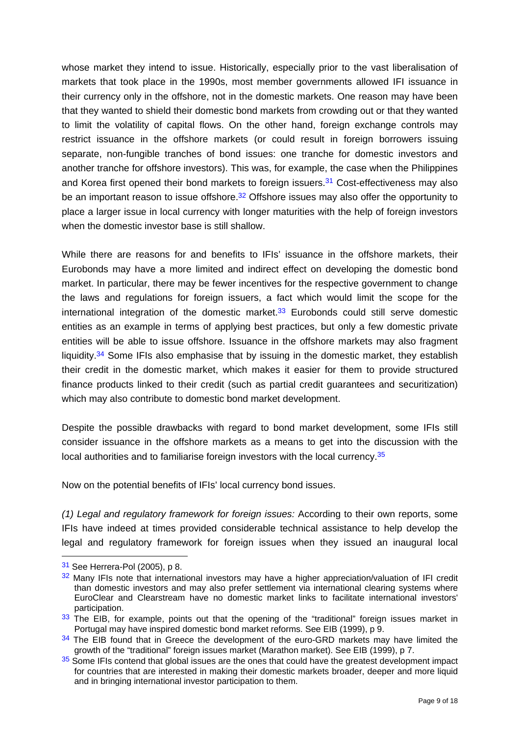whose market they intend to issue. Historically, especially prior to the vast liberalisation of markets that took place in the 1990s, most member governments allowed IFI issuance in their currency only in the offshore, not in the domestic markets. One reason may have been that they wanted to shield their domestic bond markets from crowding out or that they wanted to limit the volatility of capital flows. On the other hand, foreign exchange controls may restrict issuance in the offshore markets (or could result in foreign borrowers issuing separate, non-fungible tranches of bond issues: one tranche for domestic investors and another tranche for offshore investors). This was, for example, the case when the Philippines and Korea first opened their bond markets to foreign issuers.<sup>31</sup> Cost-effectiveness may also be an important reason to issue offshore.<sup>32</sup> Offshore issues may also offer the opportunity to place a larger issue in local currency with longer maturities with the help of foreign investors when the domestic investor base is still shallow.

While there are reasons for and benefits to IFIs' issuance in the offshore markets, their Eurobonds may have a more limited and indirect effect on developing the domestic bond market. In particular, there may be fewer incentives for the respective government to change the laws and regulations for foreign issuers, a fact which would limit the scope for the international integration of the domestic market. $33$  Eurobonds could still serve domestic entities as an example in terms of applying best practices, but only a few domestic private entities will be able to issue offshore. Issuance in the offshore markets may also fragment liquidity.<sup>34</sup> Some IFIs also emphasise that by issuing in the domestic market, they establish their credit in the domestic market, which makes it easier for them to provide structured finance products linked to their credit (such as partial credit guarantees and securitization) which may also contribute to domestic bond market development.

Despite the possible drawbacks with regard to bond market development, some IFIs still consider issuance in the offshore markets as a means to get into the discussion with the local authorities and to familiarise foreign investors with the local currency.<sup>35</sup>

Now on the potential benefits of IFIs' local currency bond issues.

*(1) Legal and regulatory framework for foreign issues:* According to their own reports, some IFIs have indeed at times provided considerable technical assistance to help develop the legal and regulatory framework for foreign issues when they issued an inaugural local

 $31$  See Herrera-Pol (2005), p 8.

<sup>&</sup>lt;sup>32</sup> Many IFIs note that international investors may have a higher appreciation/valuation of IFI credit than domestic investors and may also prefer settlement via international clearing systems where EuroClear and Clearstream have no domestic market links to facilitate international investors' participation.

 $33$  The EIB, for example, points out that the opening of the "traditional" foreign issues market in Portugal may have inspired domestic bond market reforms. See EIB (1999), p 9.

<sup>&</sup>lt;sup>34</sup> The EIB found that in Greece the development of the euro-GRD markets may have limited the growth of the "traditional" foreign issues market (Marathon market). See EIB (1999), p 7.

 $35$  Some IFIs contend that global issues are the ones that could have the greatest development impact for countries that are interested in making their domestic markets broader, deeper and more liquid and in bringing international investor participation to them.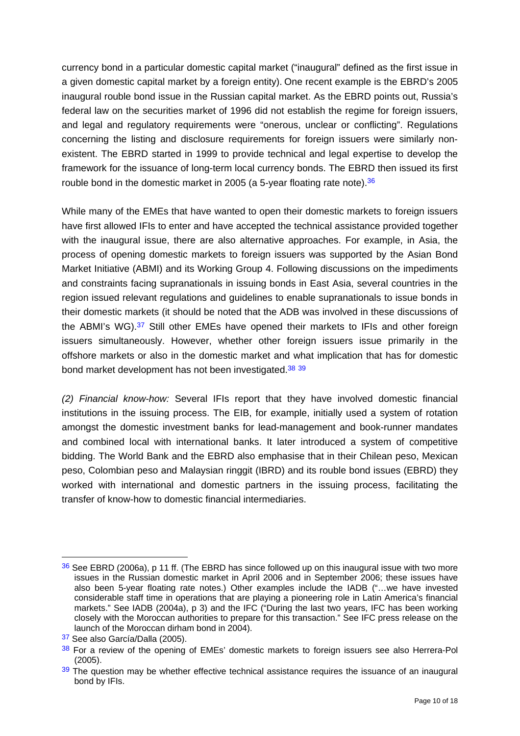currency bond in a particular domestic capital market ("inaugural" defined as the first issue in a given domestic capital market by a foreign entity). One recent example is the EBRD's 2005 inaugural rouble bond issue in the Russian capital market. As the EBRD points out, Russia's federal law on the securities market of 1996 did not establish the regime for foreign issuers, and legal and regulatory requirements were "onerous, unclear or conflicting". Regulations concerning the listing and disclosure requirements for foreign issuers were similarly nonexistent. The EBRD started in 1999 to provide technical and legal expertise to develop the framework for the issuance of long-term local currency bonds. The EBRD then issued its first rouble bond in the domestic market in 2005 (a 5-year floating rate note).<sup>36</sup>

While many of the EMEs that have wanted to open their domestic markets to foreign issuers have first allowed IFIs to enter and have accepted the technical assistance provided together with the inaugural issue, there are also alternative approaches. For example, in Asia, the process of opening domestic markets to foreign issuers was supported by the Asian Bond Market Initiative (ABMI) and its Working Group 4. Following discussions on the impediments and constraints facing supranationals in issuing bonds in East Asia, several countries in the region issued relevant regulations and guidelines to enable supranationals to issue bonds in their domestic markets (it should be noted that the ADB was involved in these discussions of the ABMI's WG).37 Still other EMEs have opened their markets to IFIs and other foreign issuers simultaneously. However, whether other foreign issuers issue primarily in the offshore markets or also in the domestic market and what implication that has for domestic bond market development has not been investigated.<sup>38</sup> 39

*(2) Financial know-how:* Several IFIs report that they have involved domestic financial institutions in the issuing process. The EIB, for example, initially used a system of rotation amongst the domestic investment banks for lead-management and book-runner mandates and combined local with international banks. It later introduced a system of competitive bidding. The World Bank and the EBRD also emphasise that in their Chilean peso, Mexican peso, Colombian peso and Malaysian ringgit (IBRD) and its rouble bond issues (EBRD) they worked with international and domestic partners in the issuing process, facilitating the transfer of know-how to domestic financial intermediaries.

<sup>1</sup>  $36$  See EBRD (2006a), p 11 ff. (The EBRD has since followed up on this inaugural issue with two more issues in the Russian domestic market in April 2006 and in September 2006; these issues have also been 5-year floating rate notes.) Other examples include the IADB ("…we have invested considerable staff time in operations that are playing a pioneering role in Latin America's financial markets." See IADB (2004a), p 3) and the IFC ("During the last two years, IFC has been working closely with the Moroccan authorities to prepare for this transaction." See IFC press release on the launch of the Moroccan dirham bond in 2004).

<sup>37</sup> See also García/Dalla (2005).

<sup>38</sup> For a review of the opening of EMEs' domestic markets to foreign issuers see also Herrera-Pol (2005).

 $39$  The question may be whether effective technical assistance requires the issuance of an inaugural bond by IFIs.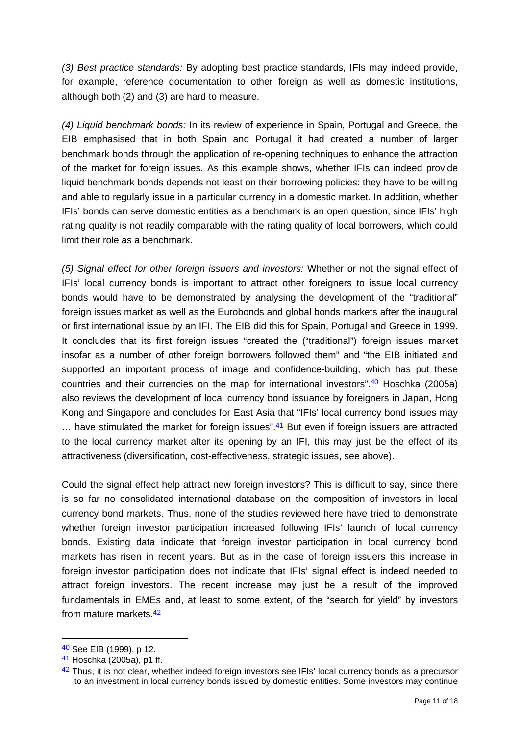*(3) Best practice standards:* By adopting best practice standards, IFIs may indeed provide, for example, reference documentation to other foreign as well as domestic institutions, although both (2) and (3) are hard to measure.

*(4) Liquid benchmark bonds:* In its review of experience in Spain, Portugal and Greece, the EIB emphasised that in both Spain and Portugal it had created a number of larger benchmark bonds through the application of re-opening techniques to enhance the attraction of the market for foreign issues. As this example shows, whether IFIs can indeed provide liquid benchmark bonds depends not least on their borrowing policies: they have to be willing and able to regularly issue in a particular currency in a domestic market. In addition, whether IFIs' bonds can serve domestic entities as a benchmark is an open question, since IFIs' high rating quality is not readily comparable with the rating quality of local borrowers, which could limit their role as a benchmark.

*(5) Signal effect for other foreign issuers and investors:* Whether or not the signal effect of IFIs' local currency bonds is important to attract other foreigners to issue local currency bonds would have to be demonstrated by analysing the development of the "traditional" foreign issues market as well as the Eurobonds and global bonds markets after the inaugural or first international issue by an IFI. The EIB did this for Spain, Portugal and Greece in 1999. It concludes that its first foreign issues "created the ("traditional") foreign issues market insofar as a number of other foreign borrowers followed them" and "the EIB initiated and supported an important process of image and confidence-building, which has put these countries and their currencies on the map for international investors".40 Hoschka (2005a) also reviews the development of local currency bond issuance by foreigners in Japan, Hong Kong and Singapore and concludes for East Asia that "IFIs' local currency bond issues may ... have stimulated the market for foreign issues".<sup>41</sup> But even if foreign issuers are attracted to the local currency market after its opening by an IFI, this may just be the effect of its attractiveness (diversification, cost-effectiveness, strategic issues, see above).

Could the signal effect help attract new foreign investors? This is difficult to say, since there is so far no consolidated international database on the composition of investors in local currency bond markets. Thus, none of the studies reviewed here have tried to demonstrate whether foreign investor participation increased following IFIs' launch of local currency bonds. Existing data indicate that foreign investor participation in local currency bond markets has risen in recent years. But as in the case of foreign issuers this increase in foreign investor participation does not indicate that IFIs' signal effect is indeed needed to attract foreign investors. The recent increase may just be a result of the improved fundamentals in EMEs and, at least to some extent, of the "search for yield" by investors from mature markets.42

<sup>40</sup> See EIB (1999), p 12.

<sup>41</sup> Hoschka (2005a), p1 ff.

<sup>42</sup> Thus, it is not clear, whether indeed foreign investors see IFIs' local currency bonds as a precursor to an investment in local currency bonds issued by domestic entities. Some investors may continue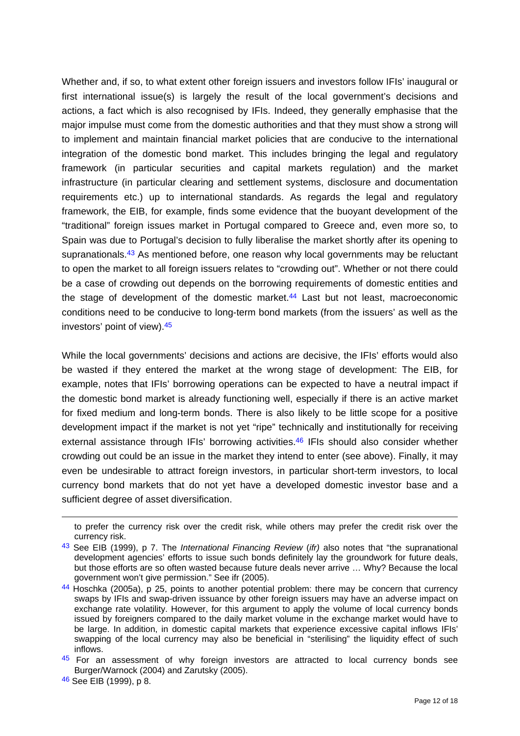Whether and, if so, to what extent other foreign issuers and investors follow IFIs' inaugural or first international issue(s) is largely the result of the local government's decisions and actions, a fact which is also recognised by IFIs. Indeed, they generally emphasise that the major impulse must come from the domestic authorities and that they must show a strong will to implement and maintain financial market policies that are conducive to the international integration of the domestic bond market. This includes bringing the legal and regulatory framework (in particular securities and capital markets regulation) and the market infrastructure (in particular clearing and settlement systems, disclosure and documentation requirements etc.) up to international standards. As regards the legal and regulatory framework, the EIB, for example, finds some evidence that the buoyant development of the "traditional" foreign issues market in Portugal compared to Greece and, even more so, to Spain was due to Portugal's decision to fully liberalise the market shortly after its opening to supranationals.<sup>43</sup> As mentioned before, one reason why local governments may be reluctant to open the market to all foreign issuers relates to "crowding out". Whether or not there could be a case of crowding out depends on the borrowing requirements of domestic entities and the stage of development of the domestic market. $44$  Last but not least, macroeconomic conditions need to be conducive to long-term bond markets (from the issuers' as well as the investors' point of view).45

While the local governments' decisions and actions are decisive, the IFIs' efforts would also be wasted if they entered the market at the wrong stage of development: The EIB, for example, notes that IFIs' borrowing operations can be expected to have a neutral impact if the domestic bond market is already functioning well, especially if there is an active market for fixed medium and long-term bonds. There is also likely to be little scope for a positive development impact if the market is not yet "ripe" technically and institutionally for receiving external assistance through IFIs' borrowing activities.<sup>46</sup> IFIs should also consider whether crowding out could be an issue in the market they intend to enter (see above). Finally, it may even be undesirable to attract foreign investors, in particular short-term investors, to local currency bond markets that do not yet have a developed domestic investor base and a sufficient degree of asset diversification.

to prefer the currency risk over the credit risk, while others may prefer the credit risk over the currency risk.

<sup>43</sup> See EIB (1999), p 7. The *International Financing Review* (*ifr)* also notes that "the supranational development agencies' efforts to issue such bonds definitely lay the groundwork for future deals, but those efforts are so often wasted because future deals never arrive … Why? Because the local government won't give permission." See ifr (2005).

<sup>44</sup> Hoschka (2005a), p 25, points to another potential problem: there may be concern that currency swaps by IFIs and swap-driven issuance by other foreign issuers may have an adverse impact on exchange rate volatility. However, for this argument to apply the volume of local currency bonds issued by foreigners compared to the daily market volume in the exchange market would have to be large. In addition, in domestic capital markets that experience excessive capital inflows IFIs' swapping of the local currency may also be beneficial in "sterilising" the liquidity effect of such inflows.

 $45$  For an assessment of why foreign investors are attracted to local currency bonds see Burger/Warnock (2004) and Zarutsky (2005).

<sup>46</sup> See EIB (1999), p 8.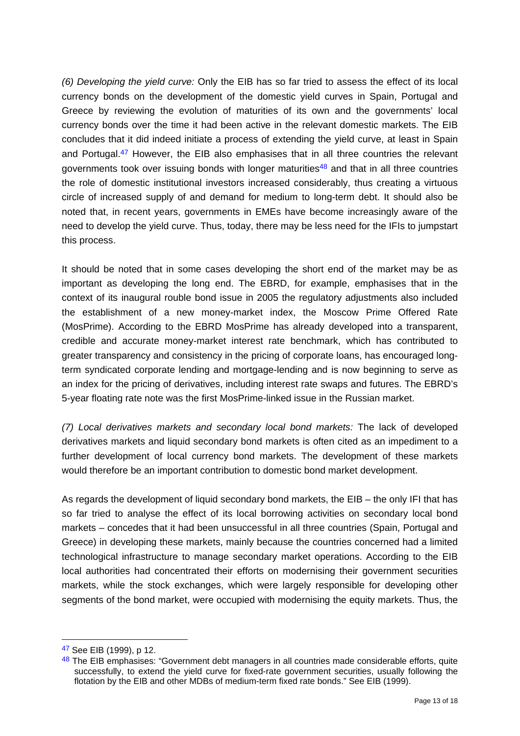*(6) Developing the yield curve:* Only the EIB has so far tried to assess the effect of its local currency bonds on the development of the domestic yield curves in Spain, Portugal and Greece by reviewing the evolution of maturities of its own and the governments' local currency bonds over the time it had been active in the relevant domestic markets. The EIB concludes that it did indeed initiate a process of extending the yield curve, at least in Spain and Portugal.<sup>47</sup> However, the EIB also emphasises that in all three countries the relevant governments took over issuing bonds with longer maturities<sup>48</sup> and that in all three countries the role of domestic institutional investors increased considerably, thus creating a virtuous circle of increased supply of and demand for medium to long-term debt. It should also be noted that, in recent years, governments in EMEs have become increasingly aware of the need to develop the yield curve. Thus, today, there may be less need for the IFIs to jumpstart this process.

It should be noted that in some cases developing the short end of the market may be as important as developing the long end. The EBRD, for example, emphasises that in the context of its inaugural rouble bond issue in 2005 the regulatory adjustments also included the establishment of a new money-market index, the Moscow Prime Offered Rate (MosPrime). According to the EBRD MosPrime has already developed into a transparent, credible and accurate money-market interest rate benchmark, which has contributed to greater transparency and consistency in the pricing of corporate loans, has encouraged longterm syndicated corporate lending and mortgage-lending and is now beginning to serve as an index for the pricing of derivatives, including interest rate swaps and futures. The EBRD's 5-year floating rate note was the first MosPrime-linked issue in the Russian market.

*(7) Local derivatives markets and secondary local bond markets:* The lack of developed derivatives markets and liquid secondary bond markets is often cited as an impediment to a further development of local currency bond markets. The development of these markets would therefore be an important contribution to domestic bond market development.

As regards the development of liquid secondary bond markets, the EIB – the only IFI that has so far tried to analyse the effect of its local borrowing activities on secondary local bond markets – concedes that it had been unsuccessful in all three countries (Spain, Portugal and Greece) in developing these markets, mainly because the countries concerned had a limited technological infrastructure to manage secondary market operations. According to the EIB local authorities had concentrated their efforts on modernising their government securities markets, while the stock exchanges, which were largely responsible for developing other segments of the bond market, were occupied with modernising the equity markets. Thus, the

<sup>47</sup> See EIB (1999), p 12.

<sup>48</sup> The EIB emphasises: "Government debt managers in all countries made considerable efforts, quite successfully, to extend the yield curve for fixed-rate government securities, usually following the flotation by the EIB and other MDBs of medium-term fixed rate bonds." See EIB (1999).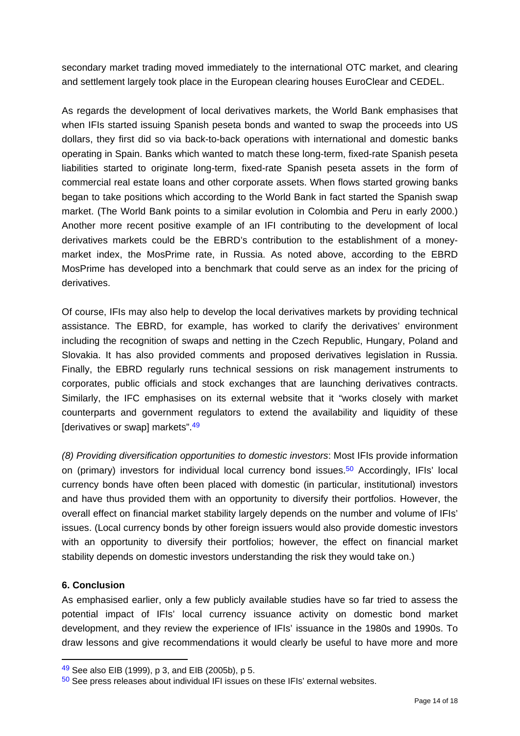secondary market trading moved immediately to the international OTC market, and clearing and settlement largely took place in the European clearing houses EuroClear and CEDEL.

As regards the development of local derivatives markets, the World Bank emphasises that when IFIs started issuing Spanish peseta bonds and wanted to swap the proceeds into US dollars, they first did so via back-to-back operations with international and domestic banks operating in Spain. Banks which wanted to match these long-term, fixed-rate Spanish peseta liabilities started to originate long-term, fixed-rate Spanish peseta assets in the form of commercial real estate loans and other corporate assets. When flows started growing banks began to take positions which according to the World Bank in fact started the Spanish swap market. (The World Bank points to a similar evolution in Colombia and Peru in early 2000.) Another more recent positive example of an IFI contributing to the development of local derivatives markets could be the EBRD's contribution to the establishment of a moneymarket index, the MosPrime rate, in Russia. As noted above, according to the EBRD MosPrime has developed into a benchmark that could serve as an index for the pricing of derivatives.

Of course, IFIs may also help to develop the local derivatives markets by providing technical assistance. The EBRD, for example, has worked to clarify the derivatives' environment including the recognition of swaps and netting in the Czech Republic, Hungary, Poland and Slovakia. It has also provided comments and proposed derivatives legislation in Russia. Finally, the EBRD regularly runs technical sessions on risk management instruments to corporates, public officials and stock exchanges that are launching derivatives contracts. Similarly, the IFC emphasises on its external website that it "works closely with market counterparts and government regulators to extend the availability and liquidity of these [derivatives or swap] markets". 49

*(8) Providing diversification opportunities to domestic investors*: Most IFIs provide information on (primary) investors for individual local currency bond issues.50 Accordingly, IFIs' local currency bonds have often been placed with domestic (in particular, institutional) investors and have thus provided them with an opportunity to diversify their portfolios. However, the overall effect on financial market stability largely depends on the number and volume of IFIs' issues. (Local currency bonds by other foreign issuers would also provide domestic investors with an opportunity to diversify their portfolios; however, the effect on financial market stability depends on domestic investors understanding the risk they would take on.)

### **6. Conclusion**

<u>.</u>

As emphasised earlier, only a few publicly available studies have so far tried to assess the potential impact of IFIs' local currency issuance activity on domestic bond market development, and they review the experience of IFIs' issuance in the 1980s and 1990s. To draw lessons and give recommendations it would clearly be useful to have more and more

<sup>49</sup> See also EIB (1999), p 3, and EIB (2005b), p 5.

<sup>50</sup> See press releases about individual IFI issues on these IFIs' external websites.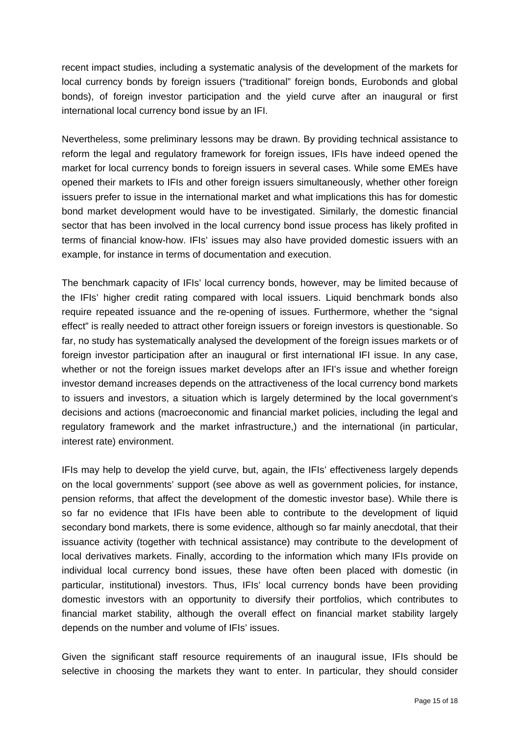recent impact studies, including a systematic analysis of the development of the markets for local currency bonds by foreign issuers ("traditional" foreign bonds, Eurobonds and global bonds), of foreign investor participation and the yield curve after an inaugural or first international local currency bond issue by an IFI.

Nevertheless, some preliminary lessons may be drawn. By providing technical assistance to reform the legal and regulatory framework for foreign issues, IFIs have indeed opened the market for local currency bonds to foreign issuers in several cases. While some EMEs have opened their markets to IFIs and other foreign issuers simultaneously, whether other foreign issuers prefer to issue in the international market and what implications this has for domestic bond market development would have to be investigated. Similarly, the domestic financial sector that has been involved in the local currency bond issue process has likely profited in terms of financial know-how. IFIs' issues may also have provided domestic issuers with an example, for instance in terms of documentation and execution.

The benchmark capacity of IFIs' local currency bonds, however, may be limited because of the IFIs' higher credit rating compared with local issuers. Liquid benchmark bonds also require repeated issuance and the re-opening of issues. Furthermore, whether the "signal effect" is really needed to attract other foreign issuers or foreign investors is questionable. So far, no study has systematically analysed the development of the foreign issues markets or of foreign investor participation after an inaugural or first international IFI issue. In any case, whether or not the foreign issues market develops after an IFI's issue and whether foreign investor demand increases depends on the attractiveness of the local currency bond markets to issuers and investors, a situation which is largely determined by the local government's decisions and actions (macroeconomic and financial market policies, including the legal and regulatory framework and the market infrastructure,) and the international (in particular, interest rate) environment.

IFIs may help to develop the yield curve, but, again, the IFIs' effectiveness largely depends on the local governments' support (see above as well as government policies, for instance, pension reforms, that affect the development of the domestic investor base). While there is so far no evidence that IFIs have been able to contribute to the development of liquid secondary bond markets, there is some evidence, although so far mainly anecdotal, that their issuance activity (together with technical assistance) may contribute to the development of local derivatives markets. Finally, according to the information which many IFIs provide on individual local currency bond issues, these have often been placed with domestic (in particular, institutional) investors. Thus, IFIs' local currency bonds have been providing domestic investors with an opportunity to diversify their portfolios, which contributes to financial market stability, although the overall effect on financial market stability largely depends on the number and volume of IFIs' issues.

Given the significant staff resource requirements of an inaugural issue, IFIs should be selective in choosing the markets they want to enter. In particular, they should consider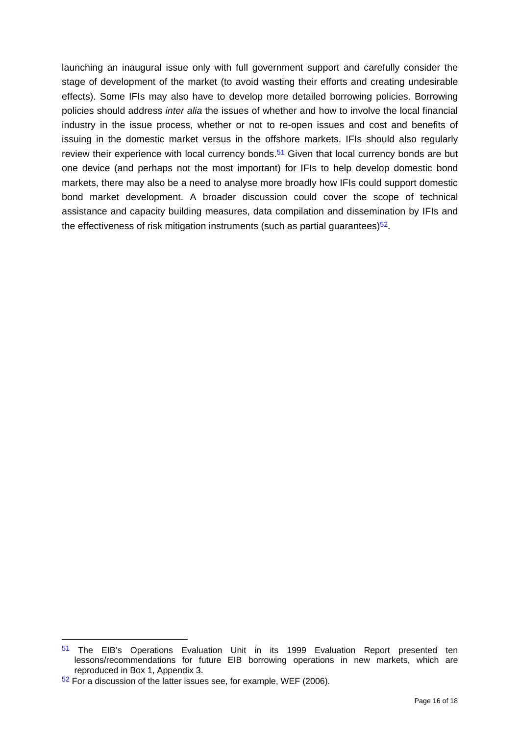launching an inaugural issue only with full government support and carefully consider the stage of development of the market (to avoid wasting their efforts and creating undesirable effects). Some IFIs may also have to develop more detailed borrowing policies. Borrowing policies should address *inter alia* the issues of whether and how to involve the local financial industry in the issue process, whether or not to re-open issues and cost and benefits of issuing in the domestic market versus in the offshore markets. IFIs should also regularly review their experience with local currency bonds.<sup>51</sup> Given that local currency bonds are but one device (and perhaps not the most important) for IFIs to help develop domestic bond markets, there may also be a need to analyse more broadly how IFIs could support domestic bond market development. A broader discussion could cover the scope of technical assistance and capacity building measures, data compilation and dissemination by IFIs and the effectiveness of risk mitigation instruments (such as partial guarantees) $52$ .

<sup>51</sup> The EIB's Operations Evaluation Unit in its 1999 Evaluation Report presented ten lessons/recommendations for future EIB borrowing operations in new markets, which are reproduced in Box 1, Appendix 3.

 $52$  For a discussion of the latter issues see, for example, WEF (2006).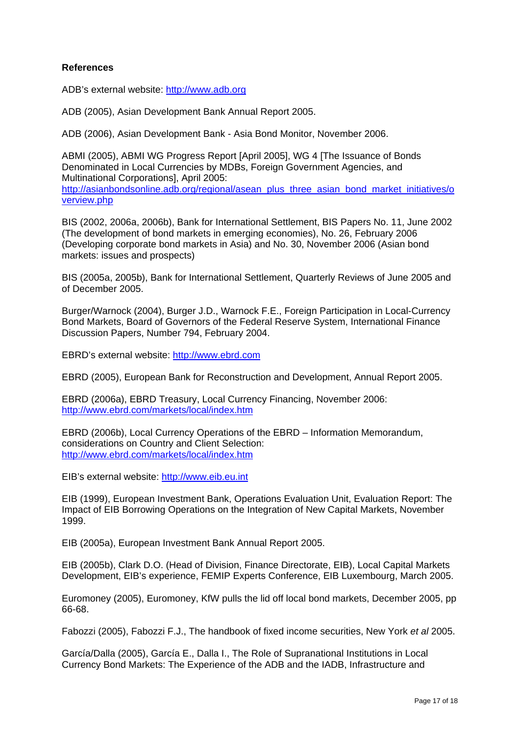#### **References**

ADB's external website: http://www.adb.org

ADB (2005), Asian Development Bank Annual Report 2005.

ADB (2006), Asian Development Bank - Asia Bond Monitor, November 2006.

ABMI (2005), ABMI WG Progress Report [April 2005], WG 4 [The Issuance of Bonds Denominated in Local Currencies by MDBs, Foreign Government Agencies, and Multinational Corporations], April 2005: http://asianbondsonline.adb.org/regional/asean\_plus\_three\_asian\_bond\_market\_initiatives/o verview.php

BIS (2002, 2006a, 2006b), Bank for International Settlement, BIS Papers No. 11, June 2002 (The development of bond markets in emerging economies), No. 26, February 2006 (Developing corporate bond markets in Asia) and No. 30, November 2006 (Asian bond markets: issues and prospects)

BIS (2005a, 2005b), Bank for International Settlement, Quarterly Reviews of June 2005 and of December 2005.

Burger/Warnock (2004), Burger J.D., Warnock F.E., Foreign Participation in Local-Currency Bond Markets, Board of Governors of the Federal Reserve System, International Finance Discussion Papers, Number 794, February 2004.

EBRD's external website: http://www.ebrd.com

EBRD (2005), European Bank for Reconstruction and Development, Annual Report 2005.

EBRD (2006a), EBRD Treasury, Local Currency Financing, November 2006: http://www.ebrd.com/markets/local/index.htm

EBRD (2006b), Local Currency Operations of the EBRD – Information Memorandum, considerations on Country and Client Selection: http://www.ebrd.com/markets/local/index.htm

EIB's external website: http://www.eib.eu.int

EIB (1999), European Investment Bank, Operations Evaluation Unit, Evaluation Report: The Impact of EIB Borrowing Operations on the Integration of New Capital Markets, November 1999.

EIB (2005a), European Investment Bank Annual Report 2005.

EIB (2005b), Clark D.O. (Head of Division, Finance Directorate, EIB), Local Capital Markets Development, EIB's experience, FEMIP Experts Conference, EIB Luxembourg, March 2005.

Euromoney (2005), Euromoney, KfW pulls the lid off local bond markets, December 2005, pp 66-68.

Fabozzi (2005), Fabozzi F.J., The handbook of fixed income securities, New York *et al* 2005.

García/Dalla (2005), García E., Dalla I., The Role of Supranational Institutions in Local Currency Bond Markets: The Experience of the ADB and the IADB, Infrastructure and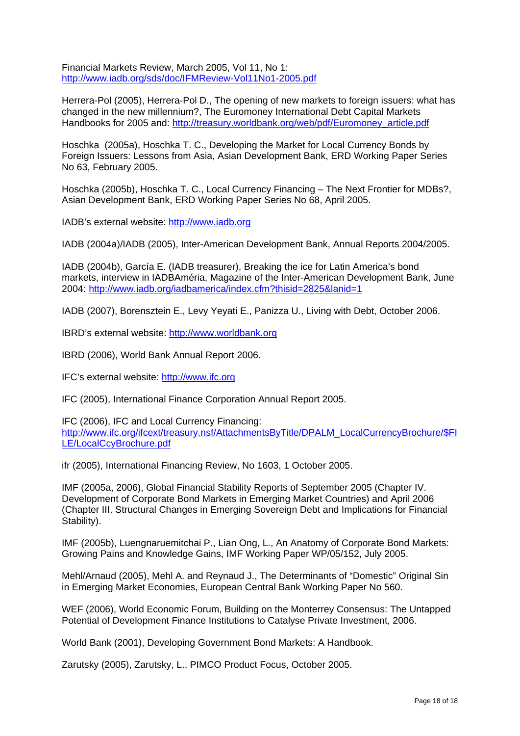Financial Markets Review, March 2005, Vol 11, No 1: http://www.iadb.org/sds/doc/IFMReview-Vol11No1-2005.pdf

Herrera-Pol (2005), Herrera-Pol D., The opening of new markets to foreign issuers: what has changed in the new millennium?, The Euromoney International Debt Capital Markets Handbooks for 2005 and: http://treasury.worldbank.org/web/pdf/Euromoney\_article.pdf

Hoschka (2005a), Hoschka T. C., Developing the Market for Local Currency Bonds by Foreign Issuers: Lessons from Asia, Asian Development Bank, ERD Working Paper Series No 63, February 2005.

Hoschka (2005b), Hoschka T. C., Local Currency Financing – The Next Frontier for MDBs?, Asian Development Bank, ERD Working Paper Series No 68, April 2005.

IADB's external website: http://www.iadb.org

IADB (2004a)/IADB (2005), Inter-American Development Bank, Annual Reports 2004/2005.

IADB (2004b), García E. (IADB treasurer), Breaking the ice for Latin America's bond markets, interview in IADBAméria, Magazine of the Inter-American Development Bank, June 2004: http://www.iadb.org/iadbamerica/index.cfm?thisid=2825&lanid=1

IADB (2007), Borensztein E., Levy Yeyati E., Panizza U., Living with Debt, October 2006.

IBRD's external website: http://www.worldbank.org

IBRD (2006), World Bank Annual Report 2006.

IFC's external website: http://www.ifc.org

IFC (2005), International Finance Corporation Annual Report 2005.

IFC (2006), IFC and Local Currency Financing: http://www.ifc.org/ifcext/treasury.nsf/AttachmentsByTitle/DPALM\_LocalCurrencyBrochure/\$FI LE/LocalCcyBrochure.pdf

ifr (2005), International Financing Review, No 1603, 1 October 2005.

IMF (2005a, 2006), Global Financial Stability Reports of September 2005 (Chapter IV. Development of Corporate Bond Markets in Emerging Market Countries) and April 2006 (Chapter III. Structural Changes in Emerging Sovereign Debt and Implications for Financial Stability).

IMF (2005b), Luengnaruemitchai P., Lian Ong, L., An Anatomy of Corporate Bond Markets: Growing Pains and Knowledge Gains, IMF Working Paper WP/05/152, July 2005.

Mehl/Arnaud (2005), Mehl A. and Reynaud J., The Determinants of "Domestic" Original Sin in Emerging Market Economies, European Central Bank Working Paper No 560.

WEF (2006), World Economic Forum, Building on the Monterrey Consensus: The Untapped Potential of Development Finance Institutions to Catalyse Private Investment, 2006.

World Bank (2001), Developing Government Bond Markets: A Handbook.

Zarutsky (2005), Zarutsky, L., PIMCO Product Focus, October 2005.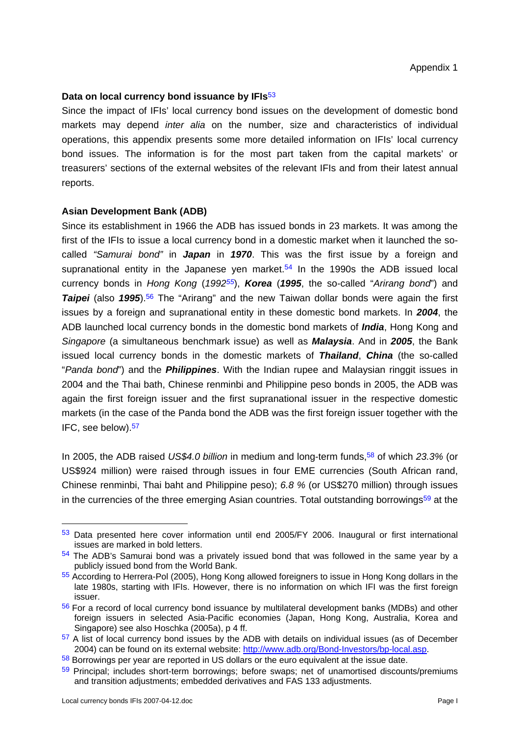#### **Data on local currency bond issuance by IFIs**<sup>53</sup>

Since the impact of IFIs' local currency bond issues on the development of domestic bond markets may depend *inter alia* on the number, size and characteristics of individual operations, this appendix presents some more detailed information on IFIs' local currency bond issues. The information is for the most part taken from the capital markets' or treasurers' sections of the external websites of the relevant IFIs and from their latest annual reports.

#### **Asian Development Bank (ADB)**

Since its establishment in 1966 the ADB has issued bonds in 23 markets. It was among the first of the IFIs to issue a local currency bond in a domestic market when it launched the socalled *"Samurai bond"* in *Japan* in *1970*. This was the first issue by a foreign and supranational entity in the Japanese yen market.<sup>54</sup> In the 1990s the ADB issued local currency bonds in *Hong Kong* (*199255*), *Korea* (*1995*, the so-called "*Arirang bond*") and **Taipei** (also 1995).<sup>56</sup> The "Arirang" and the new Taiwan dollar bonds were again the first issues by a foreign and supranational entity in these domestic bond markets. In *2004*, the ADB launched local currency bonds in the domestic bond markets of *India*, Hong Kong and *Singapore* (a simultaneous benchmark issue) as well as *Malaysia*. And in *2005*, the Bank issued local currency bonds in the domestic markets of *Thailand*, *China* (the so-called "*Panda bond*") and the *Philippines*. With the Indian rupee and Malaysian ringgit issues in 2004 and the Thai bath, Chinese renminbi and Philippine peso bonds in 2005, the ADB was again the first foreign issuer and the first supranational issuer in the respective domestic markets (in the case of the Panda bond the ADB was the first foreign issuer together with the IFC, see below).57

In 2005, the ADB raised *US\$4.0 billion* in medium and long-term funds,58 of which *23.3%* (or US\$924 million) were raised through issues in four EME currencies (South African rand, Chinese renminbi, Thai baht and Philippine peso); *6.8 %* (or US\$270 million) through issues in the currencies of the three emerging Asian countries. Total outstanding borrowings $59$  at the

<sup>53</sup> Data presented here cover information until end 2005/FY 2006. Inaugural or first international issues are marked in bold letters.

<sup>54</sup> The ADB's Samurai bond was a privately issued bond that was followed in the same year by a publicly issued bond from the World Bank.

<sup>55</sup> According to Herrera-Pol (2005), Hong Kong allowed foreigners to issue in Hong Kong dollars in the late 1980s, starting with IFIs. However, there is no information on which IFI was the first foreign issuer.

<sup>56</sup> For a record of local currency bond issuance by multilateral development banks (MDBs) and other foreign issuers in selected Asia-Pacific economies (Japan, Hong Kong, Australia, Korea and Singapore) see also Hoschka (2005a), p 4 ff.

<sup>&</sup>lt;sup>57</sup> A list of local currency bond issues by the ADB with details on individual issues (as of December 2004) can be found on its external website: http://www.adb.org/Bond-Investors/bp-local.asp. 58 Borrowings per year are reported in US dollars or the euro equivalent at the issue date.

<sup>&</sup>lt;sup>59</sup> Principal; includes short-term borrowings; before swaps; net of unamortised discounts/premiums and transition adjustments; embedded derivatives and FAS 133 adjustments.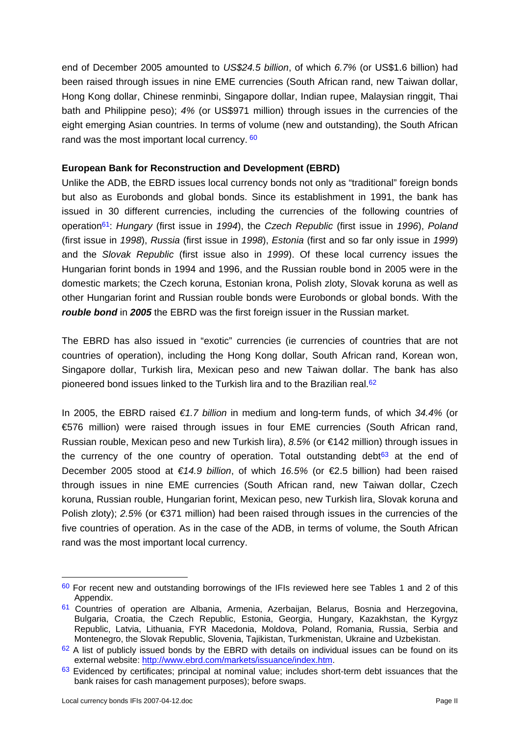end of December 2005 amounted to *US\$24.5 billion*, of which *6.7%* (or US\$1.6 billion) had been raised through issues in nine EME currencies (South African rand, new Taiwan dollar, Hong Kong dollar, Chinese renminbi, Singapore dollar, Indian rupee, Malaysian ringgit, Thai bath and Philippine peso); *4%* (or US\$971 million) through issues in the currencies of the eight emerging Asian countries. In terms of volume (new and outstanding), the South African rand was the most important local currency. 60

### **European Bank for Reconstruction and Development (EBRD)**

Unlike the ADB, the EBRD issues local currency bonds not only as "traditional" foreign bonds but also as Eurobonds and global bonds. Since its establishment in 1991, the bank has issued in 30 different currencies, including the currencies of the following countries of operation61: *Hungary* (first issue in *1994*), the *Czech Republic* (first issue in *1996*), *Poland* (first issue in *1998*), *Russia* (first issue in *1998*), *Estonia* (first and so far only issue in *1999*) and the *Slovak Republic* (first issue also in *1999*). Of these local currency issues the Hungarian forint bonds in 1994 and 1996, and the Russian rouble bond in 2005 were in the domestic markets; the Czech koruna, Estonian krona, Polish zloty, Slovak koruna as well as other Hungarian forint and Russian rouble bonds were Eurobonds or global bonds. With the *rouble bond* in *2005* the EBRD was the first foreign issuer in the Russian market.

The EBRD has also issued in "exotic" currencies (ie currencies of countries that are not countries of operation), including the Hong Kong dollar, South African rand, Korean won, Singapore dollar, Turkish lira, Mexican peso and new Taiwan dollar. The bank has also pioneered bond issues linked to the Turkish lira and to the Brazilian real.<sup>62</sup>

In 2005, the EBRD raised *€1.7 billion* in medium and long-term funds, of which *34.4%* (or €576 million) were raised through issues in four EME currencies (South African rand, Russian rouble, Mexican peso and new Turkish lira), *8.5%* (or €142 million) through issues in the currency of the one country of operation. Total outstanding debt $63$  at the end of December 2005 stood at *€14.9 billion*, of which *16.5%* (or €2.5 billion) had been raised through issues in nine EME currencies (South African rand, new Taiwan dollar, Czech koruna, Russian rouble, Hungarian forint, Mexican peso, new Turkish lira, Slovak koruna and Polish zloty); 2.5% (or €371 million) had been raised through issues in the currencies of the five countries of operation. As in the case of the ADB, in terms of volume, the South African rand was the most important local currency.

<sup>60</sup> For recent new and outstanding borrowings of the IFIs reviewed here see Tables 1 and 2 of this Appendix.

<sup>&</sup>lt;sup>61</sup> Countries of operation are Albania, Armenia, Azerbaijan, Belarus, Bosnia and Herzegovina, Bulgaria, Croatia, the Czech Republic, Estonia, Georgia, Hungary, Kazakhstan, the Kyrgyz Republic, Latvia, Lithuania, FYR Macedonia, Moldova, Poland, Romania, Russia, Serbia and Montenegro, the Slovak Republic, Slovenia, Tajikistan, Turkmenistan, Ukraine and Uzbekistan.

 $62$  A list of publicly issued bonds by the EBRD with details on individual issues can be found on its external website: http://www.ebrd.com/markets/issuance/index.htm.<br><sup>63</sup> Evidenced by certificates; principal at nominal value; includes short-term debt issuances that the

bank raises for cash management purposes); before swaps.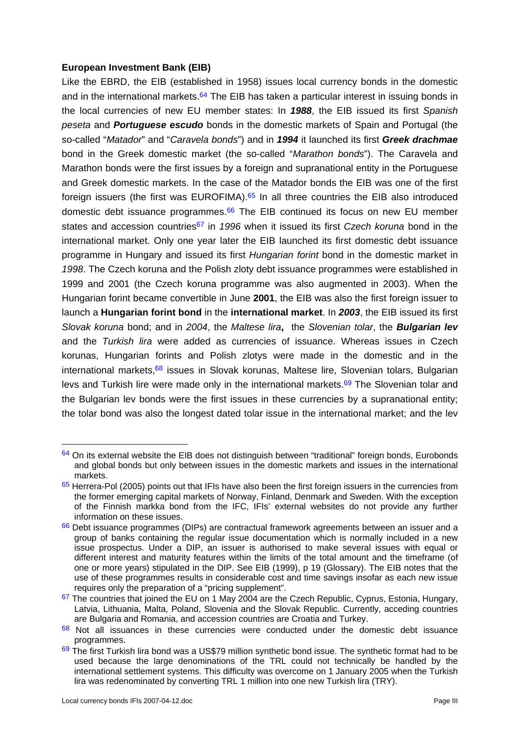#### **European Investment Bank (EIB)**

Like the EBRD, the EIB (established in 1958) issues local currency bonds in the domestic and in the international markets.<sup>64</sup> The EIB has taken a particular interest in issuing bonds in the local currencies of new EU member states: In *1988*, the EIB issued its first *Spanish peseta* and *Portuguese escudo* bonds in the domestic markets of Spain and Portugal (the so-called "*Matador*" and "*Caravela bonds*") and in *1994* it launched its first *Greek drachmae* bond in the Greek domestic market (the so-called "*Marathon bonds*"). The Caravela and Marathon bonds were the first issues by a foreign and supranational entity in the Portuguese and Greek domestic markets. In the case of the Matador bonds the EIB was one of the first foreign issuers (the first was EUROFIMA). $65$  In all three countries the EIB also introduced domestic debt issuance programmes. $66$  The EIB continued its focus on new EU member states and accession countries67 in *1996* when it issued its first *Czech koruna* bond in the international market. Only one year later the EIB launched its first domestic debt issuance programme in Hungary and issued its first *Hungarian forint* bond in the domestic market in *1998*. The Czech koruna and the Polish zloty debt issuance programmes were established in 1999 and 2001 (the Czech koruna programme was also augmented in 2003). When the Hungarian forint became convertible in June **2001**, the EIB was also the first foreign issuer to launch a **Hungarian forint bond** in the **international market**. In *2003*, the EIB issued its first *Slovak koruna* bond; and in *2004*, the *Maltese lira***,** the *Slovenian tolar*, the *Bulgarian lev* and the *Turkish lira* were added as currencies of issuance. Whereas issues in Czech korunas, Hungarian forints and Polish zlotys were made in the domestic and in the international markets, $68$  issues in Slovak korunas, Maltese lire, Slovenian tolars, Bulgarian levs and Turkish lire were made only in the international markets.<sup>69</sup> The Slovenian tolar and the Bulgarian lev bonds were the first issues in these currencies by a supranational entity; the tolar bond was also the longest dated tolar issue in the international market; and the lev

 $64$  On its external website the EIB does not distinguish between "traditional" foreign bonds, Eurobonds and global bonds but only between issues in the domestic markets and issues in the international markets.

 $65$  Herrera-Pol (2005) points out that IFIs have also been the first foreign issuers in the currencies from the former emerging capital markets of Norway, Finland, Denmark and Sweden. With the exception of the Finnish markka bond from the IFC, IFIs' external websites do not provide any further information on these issues.

<sup>&</sup>lt;sup>66</sup> Debt issuance programmes (DIPs) are contractual framework agreements between an issuer and a group of banks containing the regular issue documentation which is normally included in a new issue prospectus. Under a DIP, an issuer is authorised to make several issues with equal or different interest and maturity features within the limits of the total amount and the timeframe (of one or more years) stipulated in the DIP. See EIB (1999), p 19 (Glossary). The EIB notes that the use of these programmes results in considerable cost and time savings insofar as each new issue requires only the preparation of a "pricing supplement".

 $67$  The countries that joined the EU on 1 May 2004 are the Czech Republic, Cyprus, Estonia, Hungary, Latvia, Lithuania, Malta, Poland, Slovenia and the Slovak Republic. Currently, acceding countries are Bulgaria and Romania, and accession countries are Croatia and Turkey.

 $68$  Not all issuances in these currencies were conducted under the domestic debt issuance programmes.

<sup>69</sup> The first Turkish lira bond was a US\$79 million synthetic bond issue. The synthetic format had to be used because the large denominations of the TRL could not technically be handled by the international settlement systems. This difficulty was overcome on 1 January 2005 when the Turkish lira was redenominated by converting TRL 1 million into one new Turkish lira (TRY).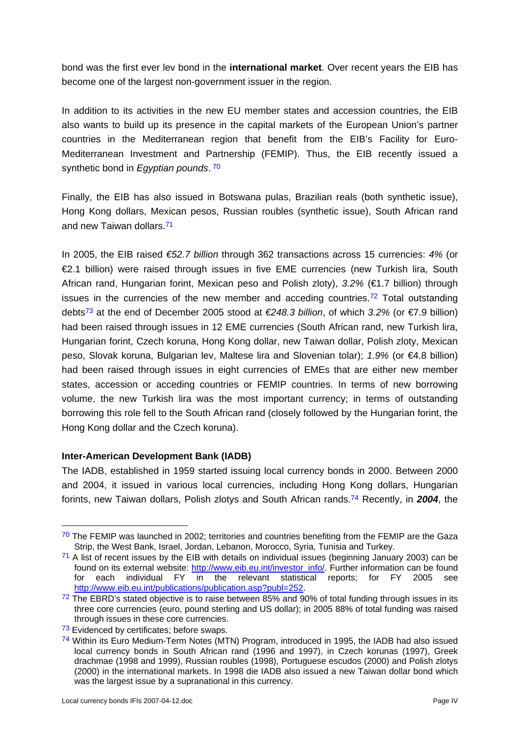bond was the first ever lev bond in the **international market**. Over recent years the EIB has become one of the largest non-government issuer in the region.

In addition to its activities in the new EU member states and accession countries, the EIB also wants to build up its presence in the capital markets of the European Union's partner countries in the Mediterranean region that benefit from the EIB's Facility for Euro-Mediterranean Investment and Partnership (FEMIP). Thus, the EIB recently issued a synthetic bond in *Egyptian pounds*. 70

Finally, the EIB has also issued in Botswana pulas, Brazilian reals (both synthetic issue), Hong Kong dollars, Mexican pesos, Russian roubles (synthetic issue), South African rand and new Taiwan dollars.71

In 2005, the EIB raised *€52.7 billion* through 362 transactions across 15 currencies: *4%* (or €2.1 billion) were raised through issues in five EME currencies (new Turkish lira, South African rand, Hungarian forint, Mexican peso and Polish zloty), *3.2%* (€1.7 billion) through issues in the currencies of the new member and acceding countries.<sup>72</sup> Total outstanding debts73 at the end of December 2005 stood at *€248.3 billion*, of which *3.2%* (or €7.9 billion) had been raised through issues in 12 EME currencies (South African rand, new Turkish lira, Hungarian forint, Czech koruna, Hong Kong dollar, new Taiwan dollar, Polish zloty, Mexican peso, Slovak koruna, Bulgarian lev, Maltese lira and Slovenian tolar); *1.9%* (or €4.8 billion) had been raised through issues in eight currencies of EMEs that are either new member states, accession or acceding countries or FEMIP countries. In terms of new borrowing volume, the new Turkish lira was the most important currency; in terms of outstanding borrowing this role fell to the South African rand (closely followed by the Hungarian forint, the Hong Kong dollar and the Czech koruna).

# **Inter-American Development Bank (IADB)**

The IADB, established in 1959 started issuing local currency bonds in 2000. Between 2000 and 2004, it issued in various local currencies, including Hong Kong dollars, Hungarian forints, new Taiwan dollars, Polish zlotys and South African rands.74 Recently, in *2004*, the

 $70$  The FEMIP was launched in 2002; territories and countries benefiting from the FEMIP are the Gaza Strip, the West Bank, Israel, Jordan, Lebanon, Morocco, Syria, Tunisia and Turkey.

<sup>71</sup> A list of recent issues by the EIB with details on individual issues (beginning January 2003) can be found on its external website: http://www.eib.eu.int/investor\_info/. Further information can be found for each individual FY in the relevant statistical reports; for FY 2005 see http://www.eib.eu.int/publications/publication.asp?publ=252.

 $72$  The EBRD's stated objective is to raise between 85% and 90% of total funding through issues in its three core currencies (euro, pound sterling and US dollar); in 2005 88% of total funding was raised through issues in these core currencies.

<sup>&</sup>lt;sup>73</sup> Evidenced by certificates; before swaps.

<sup>74</sup> Within its Euro Medium-Term Notes (MTN) Program, introduced in 1995, the IADB had also issued local currency bonds in South African rand (1996 and 1997), in Czech korunas (1997), Greek drachmae (1998 and 1999), Russian roubles (1998), Portuguese escudos (2000) and Polish zlotys (2000) in the international markets. In 1998 die IADB also issued a new Taiwan dollar bond which was the largest issue by a supranational in this currency.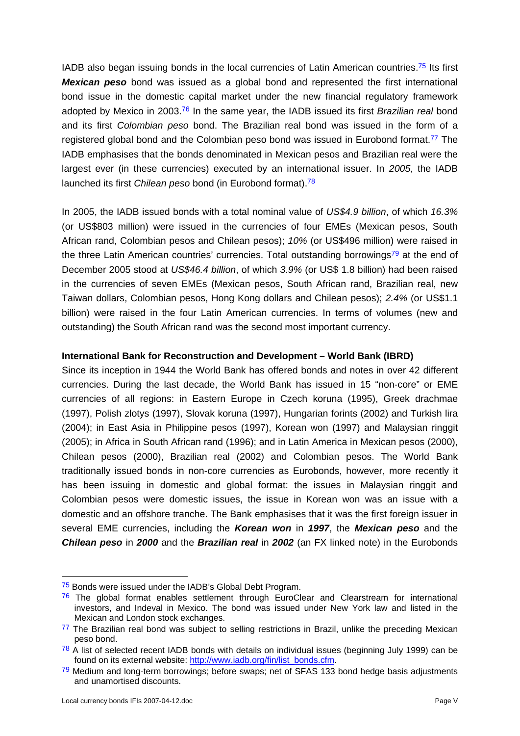IADB also began issuing bonds in the local currencies of Latin American countries.<sup>75</sup> Its first *Mexican peso* bond was issued as a global bond and represented the first international bond issue in the domestic capital market under the new financial regulatory framework adopted by Mexico in 2003.76 In the same year, the IADB issued its first *Brazilian real* bond and its first *Colombian peso* bond. The Brazilian real bond was issued in the form of a registered global bond and the Colombian peso bond was issued in Eurobond format.<sup>77</sup> The IADB emphasises that the bonds denominated in Mexican pesos and Brazilian real were the largest ever (in these currencies) executed by an international issuer. In *2005*, the IADB launched its first *Chilean peso* bond (in Eurobond format).78

In 2005, the IADB issued bonds with a total nominal value of *US\$4.9 billion*, of which *16.3%* (or US\$803 million) were issued in the currencies of four EMEs (Mexican pesos, South African rand, Colombian pesos and Chilean pesos); *10%* (or US\$496 million) were raised in the three Latin American countries' currencies. Total outstanding borrowings<sup>79</sup> at the end of December 2005 stood at *US\$46.4 billion*, of which *3.9%* (or US\$ 1.8 billion) had been raised in the currencies of seven EMEs (Mexican pesos, South African rand, Brazilian real, new Taiwan dollars, Colombian pesos, Hong Kong dollars and Chilean pesos); *2.4%* (or US\$1.1 billion) were raised in the four Latin American currencies. In terms of volumes (new and outstanding) the South African rand was the second most important currency.

# **International Bank for Reconstruction and Development – World Bank (IBRD)**

Since its inception in 1944 the World Bank has offered bonds and notes in over 42 different currencies. During the last decade, the World Bank has issued in 15 "non-core" or EME currencies of all regions: in Eastern Europe in Czech koruna (1995), Greek drachmae (1997), Polish zlotys (1997), Slovak koruna (1997), Hungarian forints (2002) and Turkish lira (2004); in East Asia in Philippine pesos (1997), Korean won (1997) and Malaysian ringgit (2005); in Africa in South African rand (1996); and in Latin America in Mexican pesos (2000), Chilean pesos (2000), Brazilian real (2002) and Colombian pesos. The World Bank traditionally issued bonds in non-core currencies as Eurobonds, however, more recently it has been issuing in domestic and global format: the issues in Malaysian ringgit and Colombian pesos were domestic issues, the issue in Korean won was an issue with a domestic and an offshore tranche. The Bank emphasises that it was the first foreign issuer in several EME currencies, including the *Korean won* in *1997*, the *Mexican peso* and the *Chilean peso* in *2000* and the *Brazilian real* in *2002* (an FX linked note) in the Eurobonds

<sup>&</sup>lt;sup>75</sup> Bonds were issued under the IADB's Global Debt Program.

 $76$  The global format enables settlement through EuroClear and Clearstream for international investors, and Indeval in Mexico. The bond was issued under New York law and listed in the Mexican and London stock exchanges.

 $77$  The Brazilian real bond was subject to selling restrictions in Brazil, unlike the preceding Mexican peso bond.

 $78$  A list of selected recent IADB bonds with details on individual issues (beginning July 1999) can be found on its external website: http://www.iadb.org/fin/list\_bonds.cfm. 79 Medium and long-term borrowings; before swaps; net of SFAS 133 bond hedge basis adjustments

and unamortised discounts.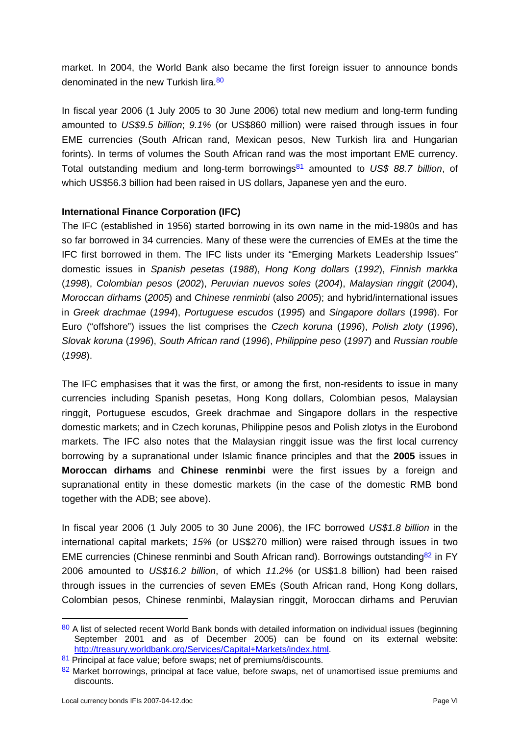market. In 2004, the World Bank also became the first foreign issuer to announce bonds denominated in the new Turkish lira 80

In fiscal year 2006 (1 July 2005 to 30 June 2006) total new medium and long-term funding amounted to *US\$9.5 billion*; *9.1%* (or US\$860 million) were raised through issues in four EME currencies (South African rand, Mexican pesos, New Turkish lira and Hungarian forints). In terms of volumes the South African rand was the most important EME currency. Total outstanding medium and long-term borrowings81 amounted to *US\$ 88.7 billion*, of which US\$56.3 billion had been raised in US dollars, Japanese yen and the euro.

## **International Finance Corporation (IFC)**

The IFC (established in 1956) started borrowing in its own name in the mid-1980s and has so far borrowed in 34 currencies. Many of these were the currencies of EMEs at the time the IFC first borrowed in them. The IFC lists under its "Emerging Markets Leadership Issues" domestic issues in *Spanish pesetas* (*1988*), *Hong Kong dollars* (*1992*), *Finnish markka* (*1998*), *Colombian pesos* (*2002*), *Peruvian nuevos soles* (*2004*), *Malaysian ringgit* (*2004*), *Moroccan dirhams* (*2005*) and *Chinese renminbi* (also *2005*); and hybrid/international issues in *Greek drachmae* (*1994*), *Portuguese escudos* (*1995*) and *Singapore dollars* (*1998*). For Euro ("offshore") issues the list comprises the *Czech koruna* (*1996*), *Polish zloty* (*1996*), *Slovak koruna* (*1996*), *South African rand* (*1996*), *Philippine peso* (*1997*) and *Russian rouble* (*1998*).

The IFC emphasises that it was the first, or among the first, non-residents to issue in many currencies including Spanish pesetas, Hong Kong dollars, Colombian pesos, Malaysian ringgit, Portuguese escudos, Greek drachmae and Singapore dollars in the respective domestic markets; and in Czech korunas, Philippine pesos and Polish zlotys in the Eurobond markets. The IFC also notes that the Malaysian ringgit issue was the first local currency borrowing by a supranational under Islamic finance principles and that the **2005** issues in **Moroccan dirhams** and **Chinese renminbi** were the first issues by a foreign and supranational entity in these domestic markets (in the case of the domestic RMB bond together with the ADB; see above).

In fiscal year 2006 (1 July 2005 to 30 June 2006), the IFC borrowed *US\$1.8 billion* in the international capital markets; *15%* (or US\$270 million) were raised through issues in two EME currencies (Chinese renminbi and South African rand). Borrowings outstanding  $82$  in FY 2006 amounted to *US\$16.2 billion*, of which *11.2%* (or US\$1.8 billion) had been raised through issues in the currencies of seven EMEs (South African rand, Hong Kong dollars, Colombian pesos, Chinese renminbi, Malaysian ringgit, Moroccan dirhams and Peruvian

<sup>80</sup> A list of selected recent World Bank bonds with detailed information on individual issues (beginning September 2001 and as of December 2005) can be found on its external website: http://treasury.worldbank.org/Services/Capital+Markets/index.html. 81 Principal at face value; before swaps; net of premiums/discounts.

<sup>82</sup> Market borrowings, principal at face value, before swaps, net of unamortised issue premiums and discounts.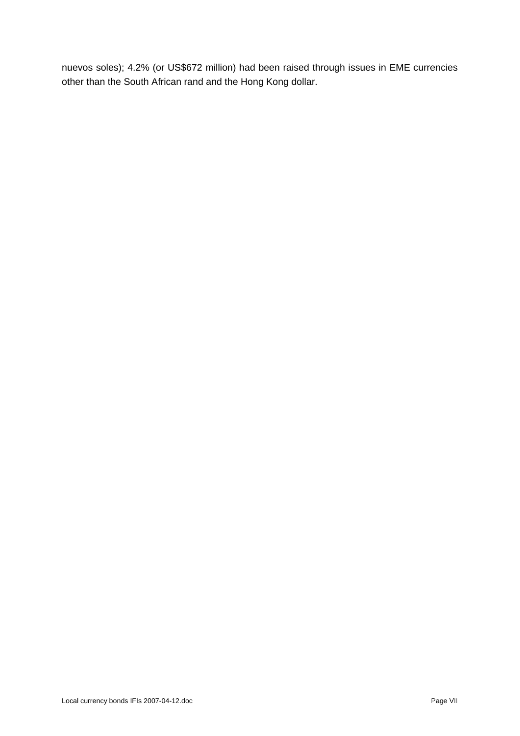nuevos soles); 4.2% (or US\$672 million) had been raised through issues in EME currencies other than the South African rand and the Hong Kong dollar.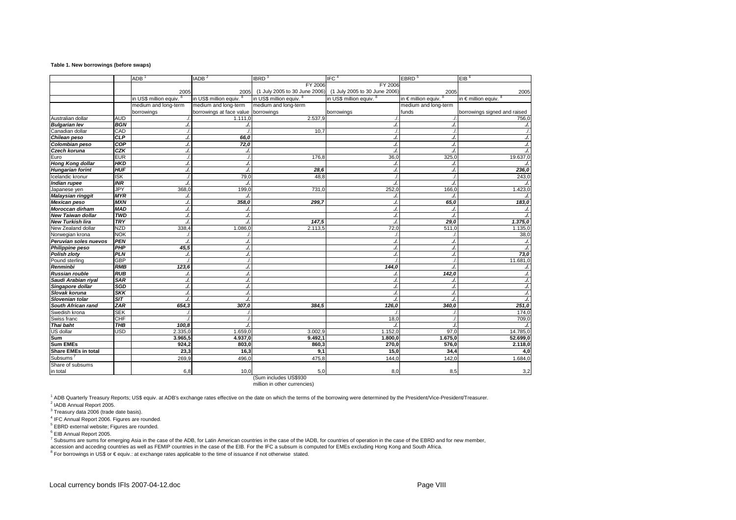#### **Table 1. New borrowings (before swaps)**

|                            |            | <b>ADB</b>             | IADB <sup>2</sup>                   | IBRD <sup>3</sup>             | IFC <sup>4</sup>              | EBRD <sup>5</sup>                | EIB <sup>6</sup>                 |
|----------------------------|------------|------------------------|-------------------------------------|-------------------------------|-------------------------------|----------------------------------|----------------------------------|
|                            |            |                        |                                     | FY 2006                       | <b>FY 2006</b>                |                                  |                                  |
|                            |            | 2005                   | 2005                                | (1 July 2005 to 30 June 2006) | (1 July 2005 to 30 June 2006) | 2005                             | 2005                             |
|                            |            | in US\$ million equiv. | in US\$ million equiv. 8            | in US\$ million equiv. 8      | in US\$ million equiv. 8      | in $\epsilon$ million equiv. $8$ | in $\epsilon$ million equiv. $8$ |
|                            |            | medium and long-term   | medium and long-term                | medium and long-term          |                               | medium and long-term             |                                  |
|                            |            | borrowings             | borrowings at face value borrowings |                               | borrowings                    | funds                            | borrowings signed and raised     |
| Australian dollar          | <b>AUD</b> |                        | 1.111.0                             | 2.537,9                       |                               |                                  | 756,0                            |
| <b>Bulgarian lev</b>       | <b>BGN</b> | ./.                    |                                     |                               | $\overline{\mathcal{L}}$      | ./.                              | ./.                              |
| Canadian dollar            | CAD        |                        |                                     | 10.7                          |                               |                                  |                                  |
| Chilean peso               | <b>CLP</b> | J                      | 66.0                                |                               | ./.                           | ./.                              | ./.                              |
| Colombian peso             | COP        | ./                     | 72,0                                |                               | ./.                           | ./.                              | ./.                              |
| Czech koruna               | <b>CZK</b> | J                      | J.                                  |                               | $\overline{\mathcal{L}}$      | ./.                              | ./.                              |
| Euro                       | <b>EUR</b> |                        |                                     | 176,8                         | 36,0                          | 325,0                            | 19.637,0                         |
| <b>Hong Kong dollar</b>    | <b>HKD</b> | ./                     | J.                                  |                               |                               |                                  | J.                               |
| <b>Hungarian forint</b>    | <b>HUF</b> | ./.                    | J.                                  | 28,6                          | ./.                           | ./.                              | 236,0                            |
| Icelandic kronur           | <b>ISK</b> |                        | 79,0                                | 48.8                          |                               |                                  | 243,0                            |
| <b>Indian rupee</b>        | <b>INR</b> | ./.                    | J.                                  |                               | $\overline{\mathcal{L}}$      | ./.                              | ./.                              |
| Japanese yen               | JPY        | 368,0                  | 199,C                               | 731,0                         | 252,0                         | 166,0                            | 1.423,0                          |
| Malaysian ringgit          | <b>MYR</b> | ./                     |                                     |                               |                               |                                  | ./.                              |
| <b>Mexican peso</b>        | <b>MXN</b> | J.                     | 358,0                               | 299,7                         | ./.                           | 65,0                             | 183,0                            |
| Moroccan dirham            | <b>MAD</b> | ./                     | J.                                  |                               | ./.                           | ./.                              | ./.                              |
| <b>New Taiwan dollar</b>   | <b>TWD</b> | ./.                    | J.                                  |                               | ./.                           |                                  | ./.                              |
| <b>New Turkish lira</b>    | <b>TRY</b> | ./                     |                                     | 147,5                         |                               | 29,0                             | 1.375,0                          |
| New Zealand dollar         | <b>NZD</b> | 338,4                  | 1.086,0                             | 2.113,5                       | 72,0                          | 511,0                            | 1.135,0                          |
| Norwegian krona            | <b>NOK</b> |                        |                                     |                               |                               |                                  | 38,0                             |
| Peruvian soles nuevos      | PEN        | ./.                    | J.                                  |                               | ./.                           | ./.                              | ./.                              |
| Philippine peso            | PHP        | 45,5                   | J.                                  |                               |                               | J                                | ./.                              |
| <b>Polish zloty</b>        | <b>PLN</b> | ./.                    | J.                                  |                               |                               | ./.                              | 73,0                             |
| Pound sterling             | <b>GBP</b> |                        | ./.                                 |                               |                               |                                  | 11.681,0                         |
| Renminbi                   | <b>RMB</b> | 123,6                  | J.                                  |                               | 144,0                         | ./.                              | ./.                              |
| <b>Russian rouble</b>      | RUB        | ./                     | ./.                                 |                               |                               | 142,0                            | ./.                              |
| Saudi Arabian riyal        | <b>SAR</b> | ./                     | J.                                  |                               |                               | ./.                              | ./.                              |
| Singapore dollar           | <b>SGD</b> | ./                     | ./.                                 |                               | $\cdot$                       | J                                | ./.                              |
| Slovak koruna              | <b>SKK</b> | ./.                    | ./.                                 |                               |                               | ./.                              | ./.                              |
| Slovenian tolar            | ST         | ./                     | ./.                                 |                               |                               |                                  | $\frac{1}{2}$                    |
| South African rand         | <b>ZAR</b> | 654,3                  | 307,0                               | 384,5                         | 126,0                         | 340,0                            | 251,0                            |
| Swedish krona              | <b>SEK</b> |                        |                                     |                               |                               |                                  | 174,0                            |
| Swiss franc                | CHE        |                        |                                     |                               | 18,0                          |                                  | 709,0                            |
| Thai baht                  | THB        | 100.8                  | ./.                                 |                               |                               |                                  | ./.                              |
| US dollar                  | <b>USD</b> | 2.335,0                | 1.659,0                             | 3.002,9                       | 1.152.0                       | 97.0                             | 14.785,0                         |
| Sum                        |            | 3.965,5                | 4.937,0                             | 9.492,1                       | 1.800,0                       | 1.675,0                          | 52.699,0                         |
| <b>Sum EMEs</b>            |            | 924.2                  | 803.0                               | 860.3                         | 270,0                         | 576.0                            | 2.118,0                          |
| <b>Share EMEs in total</b> |            | 23,3                   | 16,3                                | 9,1                           | 15,0                          | 34,4                             | 4,0                              |
| Subsums                    |            | 269.9                  | 496,0                               | 475.8                         | 144.0                         | 142,0                            | 1.684,0                          |
| Share of subsums           |            |                        |                                     |                               |                               |                                  |                                  |
| in total                   |            | 6,8                    | 10.0                                | 5.0                           | 8.0                           | 8.5                              | 3,2                              |

(Sum includes US\$930 million in other currencies)

1 ADB Quarterly Treasury Reports; US\$ equiv. at ADB's exchange rates effective on the date on which the terms of the borrowing were determined by the President/Vice-President/Treasurer.

2 IADB Annual Report 2005.

 $3$  Treasury data 2006 (trade date basis).

4 IFC Annual Report 2006. Figures are rounded.

5 EBRD external website; Figures are rounded.

<sup>6</sup> EIB Annual Report 2005.<br><sup>7</sup> Subsums are sums for emerging Asia in the case of the ADB, for Latin American countries in the case of the IADB, for countries of operation in the case of the EBRD and for new member,<br>access succession and acceding countries as well as FEMIP countries in the case of the EIB. For the IFC a subsum is computed for EMEs excluding Hong Kong and South Africa.<br><sup>8</sup> For borrowings in US\$ or € equiv.: at exchange rates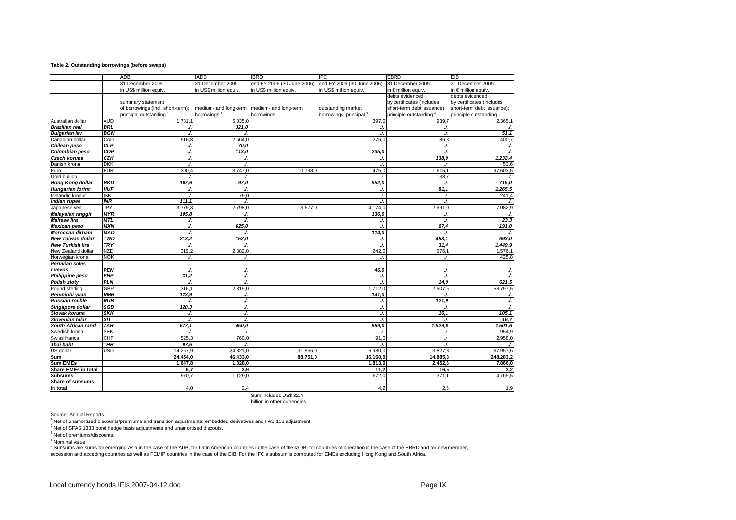#### **Table 2. Outstanding borrowings (before swaps)**

|                          |            | ADB                               | <b>IADB</b>                                   | <b>IBRD</b>                | <b>IFC</b>                         | <b>EBRD</b>                | EIB                        |
|--------------------------|------------|-----------------------------------|-----------------------------------------------|----------------------------|------------------------------------|----------------------------|----------------------------|
|                          |            | 31 December 2005                  | 31 December 2005                              | end FY 2006 (30 June 2006) | end FY 2006 (30 June 2006)         | 31 December 2005           | 31 December 2005           |
|                          |            | in US\$ million equiv.            | in US\$ million equiv.                        | in US\$ million equiv.     | in US\$ million equiv.             | in € million equiv.        | in € million equiv.        |
|                          |            |                                   |                                               |                            |                                    | debts evidenced            | debts evidenced            |
|                          |            | summary statement                 |                                               |                            |                                    | by certificates (includes  | by certificates (includes  |
|                          |            | of borrowings (incl. short-term); | medium- and long-term   medium- and long-term |                            | outstanding market                 | short-term debt issuance); | short-term debt issuance); |
|                          |            | principal outstanding 1           | borrowings <sup>2</sup>                       | borrowings                 | borrowings, principal <sup>3</sup> | principle outstanding 4    | principle outstanding      |
| Australian dollar        | <b>AUD</b> | 1.781.1                           | 5.035,0                                       |                            | 397,0                              | 939,7                      | 2.365,1                    |
| <b>Brazilian real</b>    | <b>BRL</b> | $\cdot$                           | 321,0                                         |                            | $\overline{1}$                     | ./.                        |                            |
| <b>Bulgarian lev</b>     | <b>BGN</b> |                                   |                                               |                            | $\overline{1}$                     | $\Lambda$                  | 51,1                       |
| Canadian dollar          | CAD        | 516,8                             | 2.664,0                                       |                            | 276.0                              | 36,8                       | 400,7                      |
| Chilean peso             | <b>CLP</b> |                                   | 70,0                                          |                            |                                    |                            |                            |
| Colombian peso           | COP        | J                                 | 113,0                                         |                            | 235,0                              | $\overline{ }$             |                            |
| Czech koruna             | CZK        | $\overline{a}$                    |                                               |                            |                                    | 138.0                      | 1.232,4                    |
| Danish krona             | <b>DKK</b> |                                   |                                               |                            |                                    |                            | 53,6                       |
| Euro                     | <b>EUR</b> | 1.300,4                           | 3.747,0                                       | 10.798,0                   | 475,0                              | 1.615.                     | 97.603,5                   |
| Gold bullion             |            |                                   |                                               |                            |                                    | 138.7                      |                            |
| Hong Kong dollar         | <b>HKD</b> | 167,6                             | 97,0                                          |                            | 552,0                              |                            | 715,0                      |
| <b>Hungarian forint</b>  | <b>HUF</b> |                                   | $\overline{1}$                                |                            | ./                                 | 81,1                       | 1.265,5                    |
| Icelandic kronur         | <b>ISK</b> |                                   | 79,0                                          |                            | $\overline{1}$                     |                            | 241,4                      |
| <b>Indian rupee</b>      | <b>INR</b> | 111,1                             | J.                                            |                            | ./.                                | ./.                        |                            |
| Japanese yen             | JPY        | 3.779,3                           | 2.798,0                                       | 13.677,0                   | 4.174.0                            | 2.691,0                    | 7.082,9                    |
| <b>Malaysian ringgit</b> | <b>MYR</b> | 105,8                             |                                               |                            | 136,0                              | ./.                        |                            |
| <b>Maltese lira</b>      | <b>MTL</b> | J                                 | $\sqrt{2}$                                    |                            |                                    | $\overline{\phantom{a}}$   | 23,3                       |
| <b>Mexican peso</b>      | <b>MXN</b> | J                                 | 625,0                                         |                            |                                    | 67,4                       | 191,0                      |
| Moroccan dirham          | <b>MAD</b> |                                   |                                               |                            | 114,0                              |                            |                            |
| <b>New Taiwan dollar</b> | <b>TWD</b> | 213,2                             | 152,0                                         |                            | $\cdot$                            | 453,1                      | 693,0                      |
| <b>New Turkish lira</b>  | <b>TRY</b> |                                   |                                               |                            | ./                                 | 31,4                       | 1.449,9                    |
| New Zealand dollar       | <b>NZD</b> | 319,2                             | 2.382,0                                       |                            | 242,0                              | 576,1                      | 1.576,1                    |
| Norwegian krona          | <b>NOK</b> |                                   |                                               |                            |                                    |                            | 425,8                      |
| <b>Peruvian soles</b>    |            |                                   |                                               |                            |                                    |                            |                            |
| nuevos                   | <b>PEN</b> |                                   |                                               |                            | 46,0                               |                            |                            |
| Philippine peso          | PHP        | 31,2                              | $\cdot$                                       |                            | ./.                                | $\cdot$                    |                            |
| Polish zloty             | <b>PLN</b> |                                   |                                               |                            |                                    | 14,0                       | 621,5                      |
| Pound sterling           | <b>GBP</b> | 316.                              | 2.319,0                                       |                            | 1.712,0                            | 2.607,5                    | 58.797,5                   |
| Renminbi yuan            | <b>RMB</b> | 123,9                             |                                               |                            | 141,0                              |                            |                            |
| Russian rouble           | <b>RUB</b> |                                   |                                               |                            |                                    | 121,9                      |                            |
| Singapore dollar         | SGD        | 120.3                             | ./                                            |                            | ./.                                |                            |                            |
| Slovak koruna            | <b>SKK</b> |                                   |                                               |                            | $\overline{1}$                     | 16.1                       | 105,1                      |
| Slovenian tolar          | ST         |                                   | $\overline{1}$                                |                            | $\overline{\phantom{a}}$           |                            | 16,7                       |
| South African rand       | <b>ZAR</b> | 677,1                             | 450,0                                         |                            | 589,0                              | 1.529,6                    | 1.501,6                    |
| Swedish krona            | <b>SEK</b> |                                   |                                               |                            |                                    |                            | 954.9                      |
| Swiss francs             | CHF        | 525,3                             | 760.0                                         |                            | 91 <sub>c</sub>                    |                            | 2.958,0                    |
| Thai baht                | THB        | 97.5                              |                                               |                            |                                    |                            |                            |
| US dollar                | USD        | 14.267,9                          | 24.821,0                                      | 31.855,0                   | 6.980,C                            | 3.827,8                    | 67.957,6                   |
| Sum                      |            | 24.454.0                          | 46.433.0                                      | 88.751.0                   | 16.160.0                           | 14.885.3                   | 248.283,2                  |
| <b>Sum EMEs</b>          |            | 1.647,8                           | 1.828,0                                       |                            | 1.813,0                            | 2.452,6                    | 7.866,0                    |
| Share EMEs in total      |            | 6,7                               | 3,9                                           |                            | 11,2                               | 16,5                       | 3,2                        |
| <b>Subsums</b>           |            | 970,7                             | 1.129, C                                      |                            | 672,0                              | 371,1                      | 4.765,5                    |
| <b>Share of subsums</b>  |            |                                   |                                               |                            |                                    |                            |                            |
| in total                 |            | 4,0                               | 2,4                                           |                            | 4,2                                | 2,5                        | 1,9                        |

Sum includes US\$ 32.4 billion in other currencies

Source: Annual Reports.

1 Net of unamortised discounts/premiums and transition adjustments; embedded derivatives and FAS 133 adjustment.

<sup>2</sup> Net of SFAS 1333 bond hedge basis adjustments and unamortised discouts.

<sup>3</sup> Net of premiums/discounts.

4 Nominal value.

outh and such are sums for emerging Asia in the case of the ADB, for Latin American countries in the case of the IADB, for countries of operation in the case of the EBRD and for new member, accession and acceding countries as well as FEMIP countries in the case of the EIB. For the IFC a subsum is computed for EMEs excluding Hong Kong and South Africa.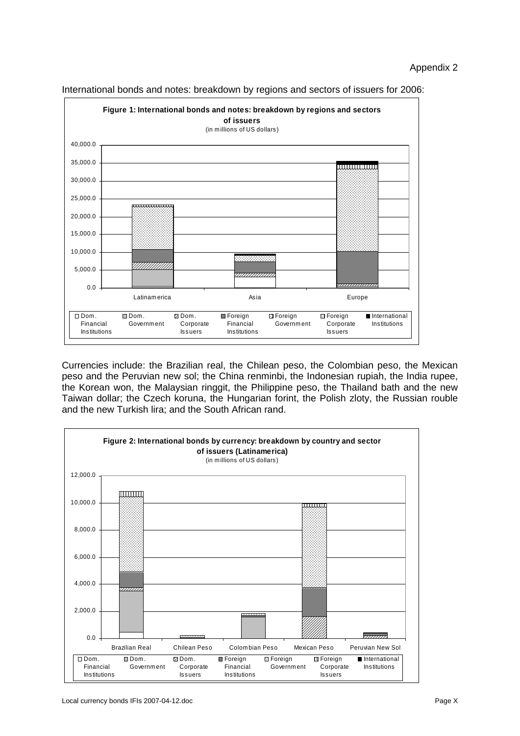

International bonds and notes: breakdown by regions and sectors of issuers for 2006:

Currencies include: the Brazilian real, the Chilean peso, the Colombian peso, the Mexican peso and the Peruvian new sol; the China renminbi, the Indonesian rupiah, the India rupee, the Korean won, the Malaysian ringgit, the Philippine peso, the Thailand bath and the new Taiwan dollar; the Czech koruna, the Hungarian forint, the Polish zloty, the Russian rouble and the new Turkish lira; and the South African rand.

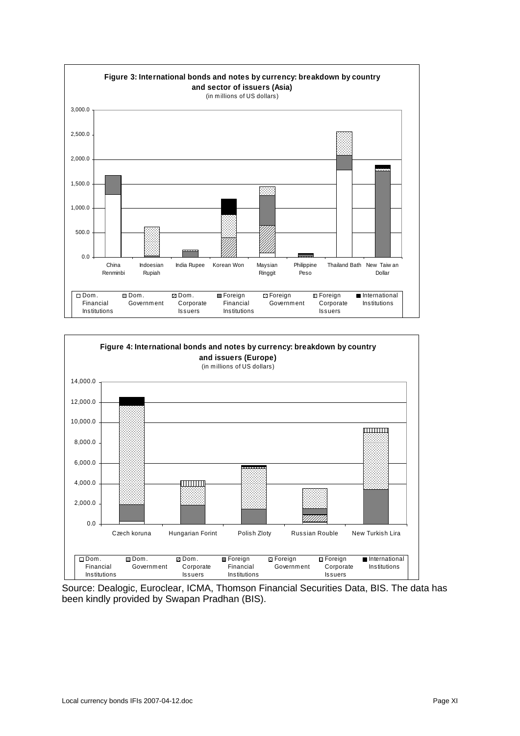



Source: Dealogic, Euroclear, ICMA, Thomson Financial Securities Data, BIS. The data has been kindly provided by Swapan Pradhan (BIS).